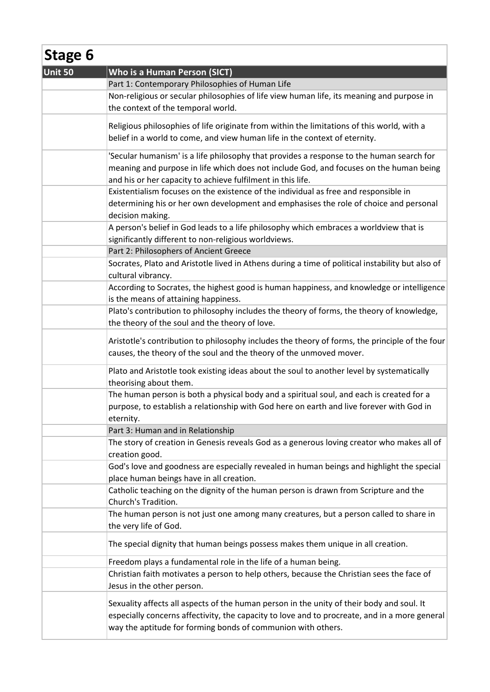| Stage 6 |                                                                                                                                                                                                                                                            |
|---------|------------------------------------------------------------------------------------------------------------------------------------------------------------------------------------------------------------------------------------------------------------|
| Unit 50 | Who is a Human Person (SICT)                                                                                                                                                                                                                               |
|         | Part 1: Contemporary Philosophies of Human Life                                                                                                                                                                                                            |
|         | Non-religious or secular philosophies of life view human life, its meaning and purpose in<br>the context of the temporal world.                                                                                                                            |
|         | Religious philosophies of life originate from within the limitations of this world, with a<br>belief in a world to come, and view human life in the context of eternity.                                                                                   |
|         | 'Secular humanism' is a life philosophy that provides a response to the human search for<br>meaning and purpose in life which does not include God, and focuses on the human being<br>and his or her capacity to achieve fulfilment in this life.          |
|         | Existentialism focuses on the existence of the individual as free and responsible in<br>determining his or her own development and emphasises the role of choice and personal<br>decision making.                                                          |
|         | A person's belief in God leads to a life philosophy which embraces a worldview that is<br>significantly different to non-religious worldviews.                                                                                                             |
|         | Part 2: Philosophers of Ancient Greece                                                                                                                                                                                                                     |
|         | Socrates, Plato and Aristotle lived in Athens during a time of political instability but also of<br>cultural vibrancy.                                                                                                                                     |
|         | According to Socrates, the highest good is human happiness, and knowledge or intelligence<br>is the means of attaining happiness.                                                                                                                          |
|         | Plato's contribution to philosophy includes the theory of forms, the theory of knowledge,                                                                                                                                                                  |
|         | the theory of the soul and the theory of love.                                                                                                                                                                                                             |
|         | Aristotle's contribution to philosophy includes the theory of forms, the principle of the four<br>causes, the theory of the soul and the theory of the unmoved mover.                                                                                      |
|         | Plato and Aristotle took existing ideas about the soul to another level by systematically<br>theorising about them.                                                                                                                                        |
|         | The human person is both a physical body and a spiritual soul, and each is created for a<br>purpose, to establish a relationship with God here on earth and live forever with God in<br>eternity.                                                          |
|         | Part 3: Human and in Relationship                                                                                                                                                                                                                          |
|         | The story of creation in Genesis reveals God as a generous loving creator who makes all of<br>creation good.                                                                                                                                               |
|         | God's love and goodness are especially revealed in human beings and highlight the special<br>place human beings have in all creation.                                                                                                                      |
|         | Catholic teaching on the dignity of the human person is drawn from Scripture and the<br>Church's Tradition.                                                                                                                                                |
|         | The human person is not just one among many creatures, but a person called to share in<br>the very life of God.                                                                                                                                            |
|         | The special dignity that human beings possess makes them unique in all creation.                                                                                                                                                                           |
|         | Freedom plays a fundamental role in the life of a human being.                                                                                                                                                                                             |
|         | Christian faith motivates a person to help others, because the Christian sees the face of<br>Jesus in the other person.                                                                                                                                    |
|         | Sexuality affects all aspects of the human person in the unity of their body and soul. It<br>especially concerns affectivity, the capacity to love and to procreate, and in a more general<br>way the aptitude for forming bonds of communion with others. |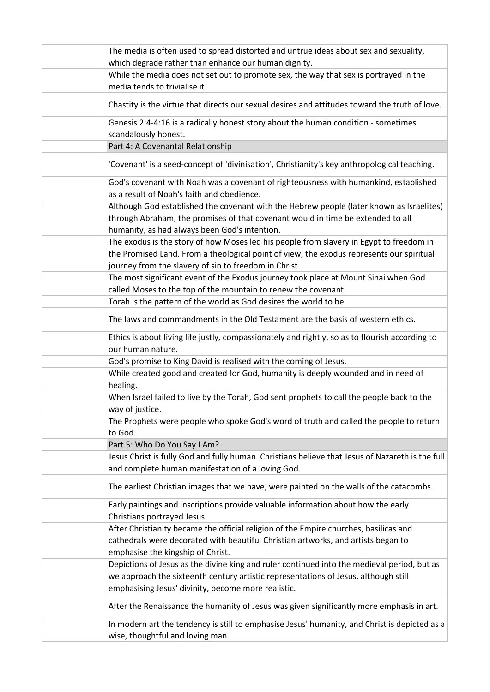| The media is often used to spread distorted and untrue ideas about sex and sexuality,                                                                 |
|-------------------------------------------------------------------------------------------------------------------------------------------------------|
| which degrade rather than enhance our human dignity.                                                                                                  |
| While the media does not set out to promote sex, the way that sex is portrayed in the                                                                 |
| media tends to trivialise it.                                                                                                                         |
| Chastity is the virtue that directs our sexual desires and attitudes toward the truth of love.                                                        |
| Genesis 2:4-4:16 is a radically honest story about the human condition - sometimes<br>scandalously honest.                                            |
| Part 4: A Covenantal Relationship                                                                                                                     |
| 'Covenant' is a seed-concept of 'divinisation', Christianity's key anthropological teaching.                                                          |
| God's covenant with Noah was a covenant of righteousness with humankind, established                                                                  |
| as a result of Noah's faith and obedience.                                                                                                            |
| Although God established the covenant with the Hebrew people (later known as Israelites)                                                              |
| through Abraham, the promises of that covenant would in time be extended to all                                                                       |
| humanity, as had always been God's intention.                                                                                                         |
| The exodus is the story of how Moses led his people from slavery in Egypt to freedom in                                                               |
| the Promised Land. From a theological point of view, the exodus represents our spiritual                                                              |
| journey from the slavery of sin to freedom in Christ.                                                                                                 |
| The most significant event of the Exodus journey took place at Mount Sinai when God                                                                   |
| called Moses to the top of the mountain to renew the covenant.                                                                                        |
| Torah is the pattern of the world as God desires the world to be.                                                                                     |
| The laws and commandments in the Old Testament are the basis of western ethics.                                                                       |
| Ethics is about living life justly, compassionately and rightly, so as to flourish according to                                                       |
| our human nature.                                                                                                                                     |
| God's promise to King David is realised with the coming of Jesus.                                                                                     |
| While created good and created for God, humanity is deeply wounded and in need of<br>healing.                                                         |
| When Israel failed to live by the Torah, God sent prophets to call the people back to the<br>way of justice.                                          |
| The Prophets were people who spoke God's word of truth and called the people to return<br>to God.                                                     |
| Part 5: Who Do You Say I Am?                                                                                                                          |
| Jesus Christ is fully God and fully human. Christians believe that Jesus of Nazareth is the full<br>and complete human manifestation of a loving God. |
| The earliest Christian images that we have, were painted on the walls of the catacombs.                                                               |
| Early paintings and inscriptions provide valuable information about how the early<br>Christians portrayed Jesus.                                      |
| After Christianity became the official religion of the Empire churches, basilicas and                                                                 |
| cathedrals were decorated with beautiful Christian artworks, and artists began to                                                                     |
| emphasise the kingship of Christ.                                                                                                                     |
| Depictions of Jesus as the divine king and ruler continued into the medieval period, but as                                                           |
| we approach the sixteenth century artistic representations of Jesus, although still                                                                   |
| emphasising Jesus' divinity, become more realistic.                                                                                                   |
| After the Renaissance the humanity of Jesus was given significantly more emphasis in art.                                                             |
| In modern art the tendency is still to emphasise Jesus' humanity, and Christ is depicted as a<br>wise, thoughtful and loving man.                     |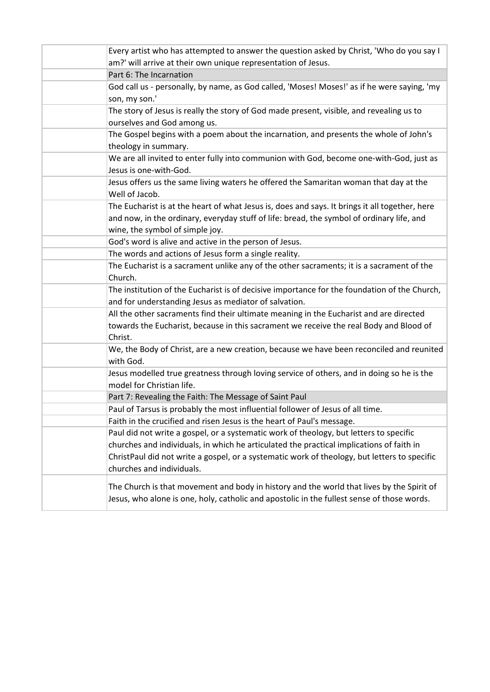| Every artist who has attempted to answer the question asked by Christ, 'Who do you say I                     |
|--------------------------------------------------------------------------------------------------------------|
| am?' will arrive at their own unique representation of Jesus.<br>Part 6: The Incarnation                     |
|                                                                                                              |
| God call us - personally, by name, as God called, 'Moses! Moses!' as if he were saying, 'my<br>son, my son.' |
| The story of Jesus is really the story of God made present, visible, and revealing us to                     |
| ourselves and God among us.                                                                                  |
| The Gospel begins with a poem about the incarnation, and presents the whole of John's                        |
| theology in summary.                                                                                         |
| We are all invited to enter fully into communion with God, become one-with-God, just as                      |
| Jesus is one-with-God.                                                                                       |
| Jesus offers us the same living waters he offered the Samaritan woman that day at the                        |
| Well of Jacob.                                                                                               |
| The Eucharist is at the heart of what Jesus is, does and says. It brings it all together, here               |
| and now, in the ordinary, everyday stuff of life: bread, the symbol of ordinary life, and                    |
| wine, the symbol of simple joy.                                                                              |
| God's word is alive and active in the person of Jesus.                                                       |
| The words and actions of Jesus form a single reality.                                                        |
| The Eucharist is a sacrament unlike any of the other sacraments; it is a sacrament of the<br>Church.         |
| The institution of the Eucharist is of decisive importance for the foundation of the Church,                 |
| and for understanding Jesus as mediator of salvation.                                                        |
| All the other sacraments find their ultimate meaning in the Eucharist and are directed                       |
| towards the Eucharist, because in this sacrament we receive the real Body and Blood of                       |
| Christ.                                                                                                      |
| We, the Body of Christ, are a new creation, because we have been reconciled and reunited<br>with God.        |
| Jesus modelled true greatness through loving service of others, and in doing so he is the                    |
| model for Christian life.                                                                                    |
| Part 7: Revealing the Faith: The Message of Saint Paul                                                       |
| Paul of Tarsus is probably the most influential follower of Jesus of all time.                               |
| Faith in the crucified and risen Jesus is the heart of Paul's message.                                       |
| Paul did not write a gospel, or a systematic work of theology, but letters to specific                       |
| churches and individuals, in which he articulated the practical implications of faith in                     |
| ChristPaul did not write a gospel, or a systematic work of theology, but letters to specific                 |
| churches and individuals.                                                                                    |
| The Church is that movement and body in history and the world that lives by the Spirit of                    |
| Jesus, who alone is one, holy, catholic and apostolic in the fullest sense of those words.                   |
|                                                                                                              |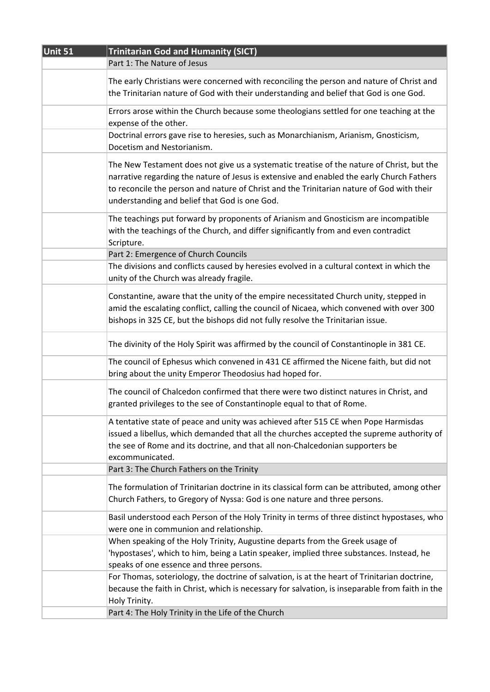| Unit 51 | <b>Trinitarian God and Humanity (SICT)</b>                                                      |
|---------|-------------------------------------------------------------------------------------------------|
|         | Part 1: The Nature of Jesus                                                                     |
|         |                                                                                                 |
|         | The early Christians were concerned with reconciling the person and nature of Christ and        |
|         | the Trinitarian nature of God with their understanding and belief that God is one God.          |
|         | Errors arose within the Church because some theologians settled for one teaching at the         |
|         | expense of the other.                                                                           |
|         | Doctrinal errors gave rise to heresies, such as Monarchianism, Arianism, Gnosticism,            |
|         | Docetism and Nestorianism.                                                                      |
|         | The New Testament does not give us a systematic treatise of the nature of Christ, but the       |
|         | narrative regarding the nature of Jesus is extensive and enabled the early Church Fathers       |
|         | to reconcile the person and nature of Christ and the Trinitarian nature of God with their       |
|         | understanding and belief that God is one God.                                                   |
|         |                                                                                                 |
|         | The teachings put forward by proponents of Arianism and Gnosticism are incompatible             |
|         | with the teachings of the Church, and differ significantly from and even contradict             |
|         | Scripture.                                                                                      |
|         | Part 2: Emergence of Church Councils                                                            |
|         | The divisions and conflicts caused by heresies evolved in a cultural context in which the       |
|         | unity of the Church was already fragile.                                                        |
|         | Constantine, aware that the unity of the empire necessitated Church unity, stepped in           |
|         | amid the escalating conflict, calling the council of Nicaea, which convened with over 300       |
|         | bishops in 325 CE, but the bishops did not fully resolve the Trinitarian issue.                 |
|         |                                                                                                 |
|         | The divinity of the Holy Spirit was affirmed by the council of Constantinople in 381 CE.        |
|         | The council of Ephesus which convened in 431 CE affirmed the Nicene faith, but did not          |
|         | bring about the unity Emperor Theodosius had hoped for.                                         |
|         | The council of Chalcedon confirmed that there were two distinct natures in Christ, and          |
|         | granted privileges to the see of Constantinople equal to that of Rome.                          |
|         |                                                                                                 |
|         | A tentative state of peace and unity was achieved after 515 CE when Pope Harmisdas              |
|         | issued a libellus, which demanded that all the churches accepted the supreme authority of       |
|         | the see of Rome and its doctrine, and that all non-Chalcedonian supporters be                   |
|         | excommunicated.                                                                                 |
|         | Part 3: The Church Fathers on the Trinity                                                       |
|         | The formulation of Trinitarian doctrine in its classical form can be attributed, among other    |
|         | Church Fathers, to Gregory of Nyssa: God is one nature and three persons.                       |
|         |                                                                                                 |
|         | Basil understood each Person of the Holy Trinity in terms of three distinct hypostases, who     |
|         | were one in communion and relationship.                                                         |
|         | When speaking of the Holy Trinity, Augustine departs from the Greek usage of                    |
|         | 'hypostases', which to him, being a Latin speaker, implied three substances. Instead, he        |
|         | speaks of one essence and three persons.                                                        |
|         | For Thomas, soteriology, the doctrine of salvation, is at the heart of Trinitarian doctrine,    |
|         | because the faith in Christ, which is necessary for salvation, is inseparable from faith in the |
|         | Holy Trinity.                                                                                   |
|         | Part 4: The Holy Trinity in the Life of the Church                                              |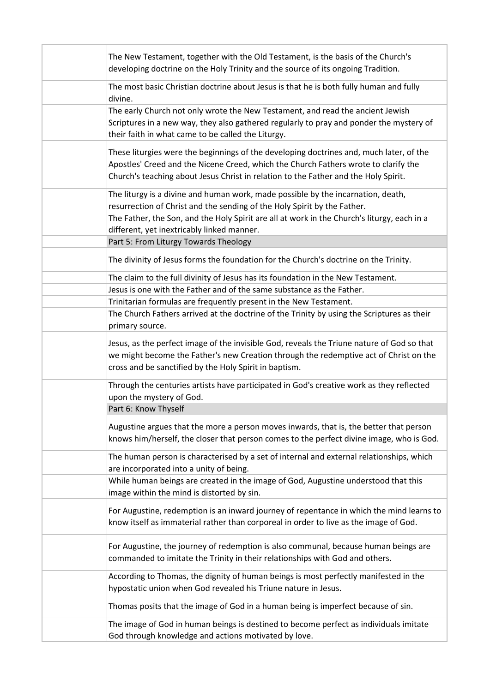| The New Testament, together with the Old Testament, is the basis of the Church's<br>developing doctrine on the Holy Trinity and the source of its ongoing Tradition.                                                                                                  |
|-----------------------------------------------------------------------------------------------------------------------------------------------------------------------------------------------------------------------------------------------------------------------|
| The most basic Christian doctrine about Jesus is that he is both fully human and fully<br>divine.                                                                                                                                                                     |
| The early Church not only wrote the New Testament, and read the ancient Jewish<br>Scriptures in a new way, they also gathered regularly to pray and ponder the mystery of<br>their faith in what came to be called the Liturgy.                                       |
| These liturgies were the beginnings of the developing doctrines and, much later, of the<br>Apostles' Creed and the Nicene Creed, which the Church Fathers wrote to clarify the<br>Church's teaching about Jesus Christ in relation to the Father and the Holy Spirit. |
| The liturgy is a divine and human work, made possible by the incarnation, death,<br>resurrection of Christ and the sending of the Holy Spirit by the Father.                                                                                                          |
| The Father, the Son, and the Holy Spirit are all at work in the Church's liturgy, each in a<br>different, yet inextricably linked manner.                                                                                                                             |
| Part 5: From Liturgy Towards Theology                                                                                                                                                                                                                                 |
| The divinity of Jesus forms the foundation for the Church's doctrine on the Trinity.                                                                                                                                                                                  |
| The claim to the full divinity of Jesus has its foundation in the New Testament.                                                                                                                                                                                      |
| Jesus is one with the Father and of the same substance as the Father.                                                                                                                                                                                                 |
| Trinitarian formulas are frequently present in the New Testament.                                                                                                                                                                                                     |
| The Church Fathers arrived at the doctrine of the Trinity by using the Scriptures as their<br>primary source.                                                                                                                                                         |
| Jesus, as the perfect image of the invisible God, reveals the Triune nature of God so that<br>we might become the Father's new Creation through the redemptive act of Christ on the<br>cross and be sanctified by the Holy Spirit in baptism.                         |
| Through the centuries artists have participated in God's creative work as they reflected<br>upon the mystery of God.                                                                                                                                                  |
| Part 6: Know Thyself                                                                                                                                                                                                                                                  |
| Augustine argues that the more a person moves inwards, that is, the better that person<br>knows him/herself, the closer that person comes to the perfect divine image, who is God.                                                                                    |
| The human person is characterised by a set of internal and external relationships, which<br>are incorporated into a unity of being.                                                                                                                                   |
| While human beings are created in the image of God, Augustine understood that this<br>image within the mind is distorted by sin.                                                                                                                                      |
| For Augustine, redemption is an inward journey of repentance in which the mind learns to<br>know itself as immaterial rather than corporeal in order to live as the image of God.                                                                                     |
| For Augustine, the journey of redemption is also communal, because human beings are<br>commanded to imitate the Trinity in their relationships with God and others.                                                                                                   |
| According to Thomas, the dignity of human beings is most perfectly manifested in the<br>hypostatic union when God revealed his Triune nature in Jesus.                                                                                                                |
| Thomas posits that the image of God in a human being is imperfect because of sin.                                                                                                                                                                                     |
| The image of God in human beings is destined to become perfect as individuals imitate<br>God through knowledge and actions motivated by love.                                                                                                                         |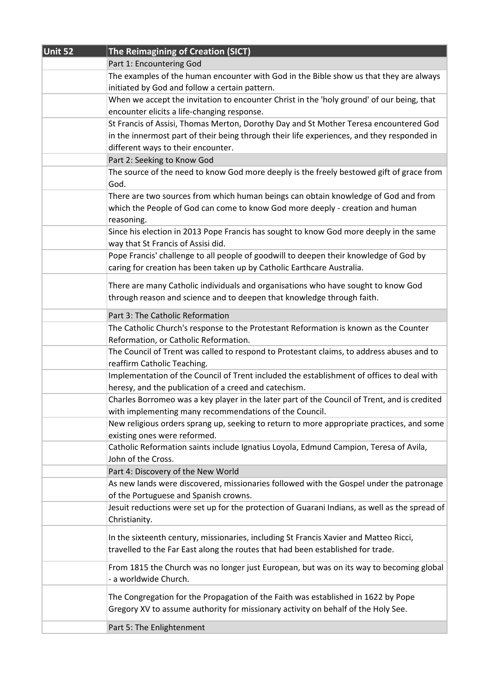| Unit 52 | The Reimagining of Creation (SICT)                                                                                                                                       |
|---------|--------------------------------------------------------------------------------------------------------------------------------------------------------------------------|
|         | Part 1: Encountering God                                                                                                                                                 |
|         | The examples of the human encounter with God in the Bible show us that they are always                                                                                   |
|         | initiated by God and follow a certain pattern.                                                                                                                           |
|         | When we accept the invitation to encounter Christ in the 'holy ground' of our being, that                                                                                |
|         | encounter elicits a life-changing response.                                                                                                                              |
|         | St Francis of Assisi, Thomas Merton, Dorothy Day and St Mother Teresa encountered God                                                                                    |
|         | in the innermost part of their being through their life experiences, and they responded in                                                                               |
|         | different ways to their encounter.                                                                                                                                       |
|         | Part 2: Seeking to Know God                                                                                                                                              |
|         | The source of the need to know God more deeply is the freely bestowed gift of grace from                                                                                 |
|         | God.                                                                                                                                                                     |
|         | There are two sources from which human beings can obtain knowledge of God and from                                                                                       |
|         | which the People of God can come to know God more deeply - creation and human                                                                                            |
|         | reasoning.                                                                                                                                                               |
|         | Since his election in 2013 Pope Francis has sought to know God more deeply in the same                                                                                   |
|         | way that St Francis of Assisi did.                                                                                                                                       |
|         | Pope Francis' challenge to all people of goodwill to deepen their knowledge of God by                                                                                    |
|         | caring for creation has been taken up by Catholic Earthcare Australia.                                                                                                   |
|         | There are many Catholic individuals and organisations who have sought to know God                                                                                        |
|         | through reason and science and to deepen that knowledge through faith.                                                                                                   |
|         |                                                                                                                                                                          |
|         | Part 3: The Catholic Reformation                                                                                                                                         |
|         | The Catholic Church's response to the Protestant Reformation is known as the Counter                                                                                     |
|         | Reformation, or Catholic Reformation.                                                                                                                                    |
|         | The Council of Trent was called to respond to Protestant claims, to address abuses and to                                                                                |
|         | reaffirm Catholic Teaching.<br>Implementation of the Council of Trent included the establishment of offices to deal with                                                 |
|         | heresy, and the publication of a creed and catechism.                                                                                                                    |
|         | Charles Borromeo was a key player in the later part of the Council of Trent, and is credited                                                                             |
|         | with implementing many recommendations of the Council.                                                                                                                   |
|         | New religious orders sprang up, seeking to return to more appropriate practices, and some                                                                                |
|         | existing ones were reformed.                                                                                                                                             |
|         | Catholic Reformation saints include Ignatius Loyola, Edmund Campion, Teresa of Avila,                                                                                    |
|         | John of the Cross.                                                                                                                                                       |
|         | Part 4: Discovery of the New World                                                                                                                                       |
|         | As new lands were discovered, missionaries followed with the Gospel under the patronage                                                                                  |
|         | of the Portuguese and Spanish crowns.                                                                                                                                    |
|         | Jesuit reductions were set up for the protection of Guarani Indians, as well as the spread of                                                                            |
|         | Christianity.                                                                                                                                                            |
|         |                                                                                                                                                                          |
|         | In the sixteenth century, missionaries, including St Francis Xavier and Matteo Ricci,<br>travelled to the Far East along the routes that had been established for trade. |
|         |                                                                                                                                                                          |
|         | From 1815 the Church was no longer just European, but was on its way to becoming global                                                                                  |
|         | - a worldwide Church.                                                                                                                                                    |
|         | The Congregation for the Propagation of the Faith was established in 1622 by Pope                                                                                        |
|         | Gregory XV to assume authority for missionary activity on behalf of the Holy See.                                                                                        |
|         |                                                                                                                                                                          |
|         | Part 5: The Enlightenment                                                                                                                                                |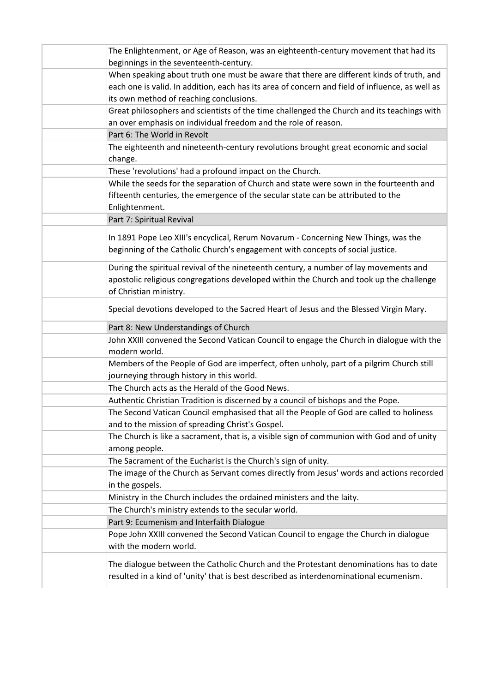| The Enlightenment, or Age of Reason, was an eighteenth-century movement that had its                                                                                                         |
|----------------------------------------------------------------------------------------------------------------------------------------------------------------------------------------------|
| beginnings in the seventeenth-century.                                                                                                                                                       |
| When speaking about truth one must be aware that there are different kinds of truth, and                                                                                                     |
| each one is valid. In addition, each has its area of concern and field of influence, as well as                                                                                              |
| its own method of reaching conclusions.                                                                                                                                                      |
| Great philosophers and scientists of the time challenged the Church and its teachings with                                                                                                   |
| an over emphasis on individual freedom and the role of reason.                                                                                                                               |
| Part 6: The World in Revolt                                                                                                                                                                  |
| The eighteenth and nineteenth-century revolutions brought great economic and social                                                                                                          |
| change.                                                                                                                                                                                      |
| These 'revolutions' had a profound impact on the Church.                                                                                                                                     |
| While the seeds for the separation of Church and state were sown in the fourteenth and<br>fifteenth centuries, the emergence of the secular state can be attributed to the<br>Enlightenment. |
| Part 7: Spiritual Revival                                                                                                                                                                    |
| In 1891 Pope Leo XIII's encyclical, Rerum Novarum - Concerning New Things, was the<br>beginning of the Catholic Church's engagement with concepts of social justice.                         |
| During the spiritual revival of the nineteenth century, a number of lay movements and                                                                                                        |
| apostolic religious congregations developed within the Church and took up the challenge<br>of Christian ministry.                                                                            |
| Special devotions developed to the Sacred Heart of Jesus and the Blessed Virgin Mary.                                                                                                        |
|                                                                                                                                                                                              |
| Part 8: New Understandings of Church                                                                                                                                                         |
| John XXIII convened the Second Vatican Council to engage the Church in dialogue with the<br>modern world.                                                                                    |
| Members of the People of God are imperfect, often unholy, part of a pilgrim Church still<br>journeying through history in this world.                                                        |
| The Church acts as the Herald of the Good News.                                                                                                                                              |
| Authentic Christian Tradition is discerned by a council of bishops and the Pope.                                                                                                             |
| The Second Vatican Council emphasised that all the People of God are called to holiness                                                                                                      |
| and to the mission of spreading Christ's Gospel.                                                                                                                                             |
| The Church is like a sacrament, that is, a visible sign of communion with God and of unity<br>among people.                                                                                  |
| The Sacrament of the Eucharist is the Church's sign of unity.                                                                                                                                |
| The image of the Church as Servant comes directly from Jesus' words and actions recorded                                                                                                     |
| in the gospels.                                                                                                                                                                              |
| Ministry in the Church includes the ordained ministers and the laity.                                                                                                                        |
| The Church's ministry extends to the secular world.                                                                                                                                          |
|                                                                                                                                                                                              |
| Part 9: Ecumenism and Interfaith Dialogue<br>Pope John XXIII convened the Second Vatican Council to engage the Church in dialogue<br>with the modern world.                                  |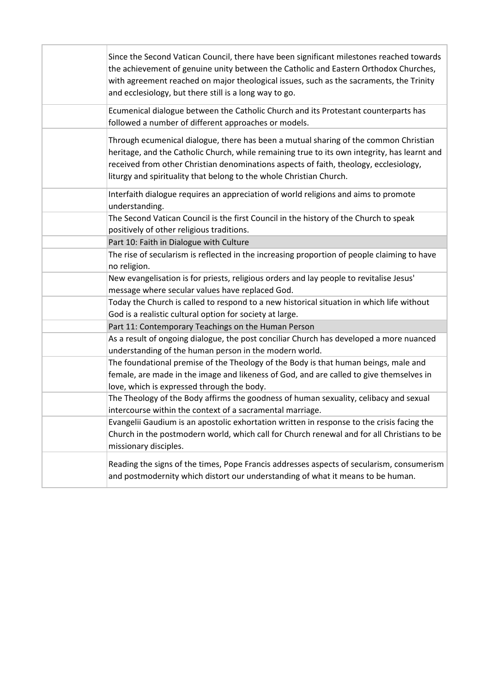| Since the Second Vatican Council, there have been significant milestones reached towards<br>the achievement of genuine unity between the Catholic and Eastern Orthodox Churches,<br>with agreement reached on major theological issues, such as the sacraments, the Trinity<br>and ecclesiology, but there still is a long way to go.                |
|------------------------------------------------------------------------------------------------------------------------------------------------------------------------------------------------------------------------------------------------------------------------------------------------------------------------------------------------------|
| Ecumenical dialogue between the Catholic Church and its Protestant counterparts has<br>followed a number of different approaches or models.                                                                                                                                                                                                          |
| Through ecumenical dialogue, there has been a mutual sharing of the common Christian<br>heritage, and the Catholic Church, while remaining true to its own integrity, has learnt and<br>received from other Christian denominations aspects of faith, theology, ecclesiology,<br>liturgy and spirituality that belong to the whole Christian Church. |
| Interfaith dialogue requires an appreciation of world religions and aims to promote<br>understanding.                                                                                                                                                                                                                                                |
| The Second Vatican Council is the first Council in the history of the Church to speak<br>positively of other religious traditions.                                                                                                                                                                                                                   |
| Part 10: Faith in Dialogue with Culture                                                                                                                                                                                                                                                                                                              |
| The rise of secularism is reflected in the increasing proportion of people claiming to have<br>no religion.                                                                                                                                                                                                                                          |
| New evangelisation is for priests, religious orders and lay people to revitalise Jesus'<br>message where secular values have replaced God.                                                                                                                                                                                                           |
| Today the Church is called to respond to a new historical situation in which life without<br>God is a realistic cultural option for society at large.                                                                                                                                                                                                |
| Part 11: Contemporary Teachings on the Human Person                                                                                                                                                                                                                                                                                                  |
| As a result of ongoing dialogue, the post conciliar Church has developed a more nuanced<br>understanding of the human person in the modern world.                                                                                                                                                                                                    |
| The foundational premise of the Theology of the Body is that human beings, male and<br>female, are made in the image and likeness of God, and are called to give themselves in<br>love, which is expressed through the body.                                                                                                                         |
| The Theology of the Body affirms the goodness of human sexuality, celibacy and sexual<br>intercourse within the context of a sacramental marriage.                                                                                                                                                                                                   |
| Evangelii Gaudium is an apostolic exhortation written in response to the crisis facing the<br>Church in the postmodern world, which call for Church renewal and for all Christians to be<br>missionary disciples.                                                                                                                                    |
| Reading the signs of the times, Pope Francis addresses aspects of secularism, consumerism<br>and postmodernity which distort our understanding of what it means to be human.                                                                                                                                                                         |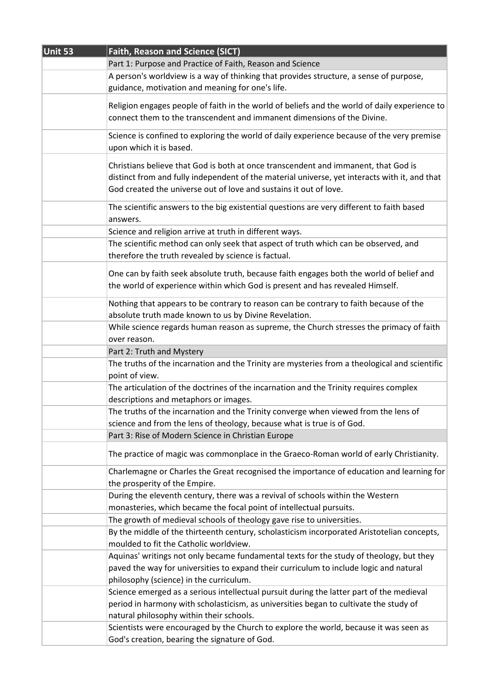| Unit 53 | Faith, Reason and Science (SICT)                                                                                                                                                                                                                         |
|---------|----------------------------------------------------------------------------------------------------------------------------------------------------------------------------------------------------------------------------------------------------------|
|         | Part 1: Purpose and Practice of Faith, Reason and Science                                                                                                                                                                                                |
|         | A person's worldview is a way of thinking that provides structure, a sense of purpose,                                                                                                                                                                   |
|         | guidance, motivation and meaning for one's life.                                                                                                                                                                                                         |
|         | Religion engages people of faith in the world of beliefs and the world of daily experience to                                                                                                                                                            |
|         | connect them to the transcendent and immanent dimensions of the Divine.                                                                                                                                                                                  |
|         | Science is confined to exploring the world of daily experience because of the very premise<br>upon which it is based.                                                                                                                                    |
|         | Christians believe that God is both at once transcendent and immanent, that God is<br>distinct from and fully independent of the material universe, yet interacts with it, and that<br>God created the universe out of love and sustains it out of love. |
|         | The scientific answers to the big existential questions are very different to faith based<br>answers.                                                                                                                                                    |
|         | Science and religion arrive at truth in different ways.                                                                                                                                                                                                  |
|         | The scientific method can only seek that aspect of truth which can be observed, and<br>therefore the truth revealed by science is factual.                                                                                                               |
|         | One can by faith seek absolute truth, because faith engages both the world of belief and<br>the world of experience within which God is present and has revealed Himself.                                                                                |
|         | Nothing that appears to be contrary to reason can be contrary to faith because of the<br>absolute truth made known to us by Divine Revelation.                                                                                                           |
|         | While science regards human reason as supreme, the Church stresses the primacy of faith<br>over reason.                                                                                                                                                  |
|         | Part 2: Truth and Mystery                                                                                                                                                                                                                                |
|         | The truths of the incarnation and the Trinity are mysteries from a theological and scientific<br>point of view.                                                                                                                                          |
|         | The articulation of the doctrines of the incarnation and the Trinity requires complex<br>descriptions and metaphors or images.                                                                                                                           |
|         | The truths of the incarnation and the Trinity converge when viewed from the lens of                                                                                                                                                                      |
|         | science and from the lens of theology, because what is true is of God.                                                                                                                                                                                   |
|         | Part 3: Rise of Modern Science in Christian Europe                                                                                                                                                                                                       |
|         | The practice of magic was commonplace in the Graeco-Roman world of early Christianity.                                                                                                                                                                   |
|         | Charlemagne or Charles the Great recognised the importance of education and learning for<br>the prosperity of the Empire.                                                                                                                                |
|         | During the eleventh century, there was a revival of schools within the Western<br>monasteries, which became the focal point of intellectual pursuits.                                                                                                    |
|         | The growth of medieval schools of theology gave rise to universities.                                                                                                                                                                                    |
|         | By the middle of the thirteenth century, scholasticism incorporated Aristotelian concepts,                                                                                                                                                               |
|         | moulded to fit the Catholic worldview.                                                                                                                                                                                                                   |
|         | Aquinas' writings not only became fundamental texts for the study of theology, but they                                                                                                                                                                  |
|         | paved the way for universities to expand their curriculum to include logic and natural                                                                                                                                                                   |
|         | philosophy (science) in the curriculum.                                                                                                                                                                                                                  |
|         | Science emerged as a serious intellectual pursuit during the latter part of the medieval                                                                                                                                                                 |
|         | period in harmony with scholasticism, as universities began to cultivate the study of                                                                                                                                                                    |
|         | natural philosophy within their schools.                                                                                                                                                                                                                 |
|         | Scientists were encouraged by the Church to explore the world, because it was seen as                                                                                                                                                                    |
|         | God's creation, bearing the signature of God.                                                                                                                                                                                                            |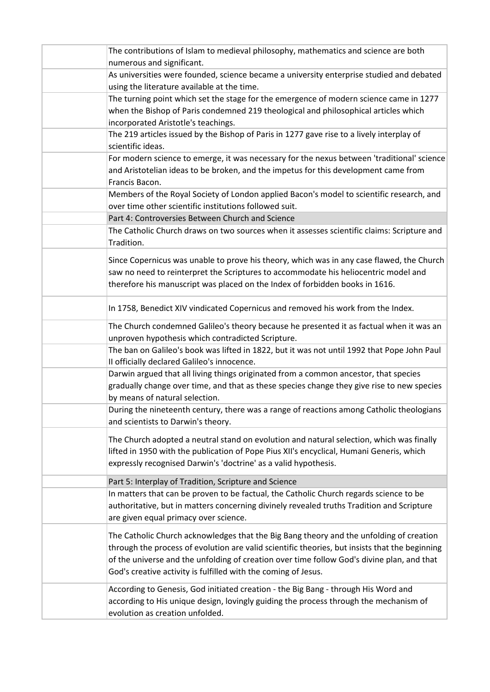| The contributions of Islam to medieval philosophy, mathematics and science are both                                            |
|--------------------------------------------------------------------------------------------------------------------------------|
| numerous and significant.                                                                                                      |
| As universities were founded, science became a university enterprise studied and debated                                       |
| using the literature available at the time.                                                                                    |
| The turning point which set the stage for the emergence of modern science came in 1277                                         |
| when the Bishop of Paris condemned 219 theological and philosophical articles which                                            |
| incorporated Aristotle's teachings.                                                                                            |
| The 219 articles issued by the Bishop of Paris in 1277 gave rise to a lively interplay of                                      |
| scientific ideas.                                                                                                              |
| For modern science to emerge, it was necessary for the nexus between 'traditional' science                                     |
| and Aristotelian ideas to be broken, and the impetus for this development came from                                            |
| Francis Bacon.                                                                                                                 |
| Members of the Royal Society of London applied Bacon's model to scientific research, and                                       |
| over time other scientific institutions followed suit.                                                                         |
| Part 4: Controversies Between Church and Science                                                                               |
| The Catholic Church draws on two sources when it assesses scientific claims: Scripture and                                     |
| Tradition.                                                                                                                     |
| Since Copernicus was unable to prove his theory, which was in any case flawed, the Church                                      |
| saw no need to reinterpret the Scriptures to accommodate his heliocentric model and                                            |
| therefore his manuscript was placed on the Index of forbidden books in 1616.                                                   |
| In 1758, Benedict XIV vindicated Copernicus and removed his work from the Index.                                               |
| The Church condemned Galileo's theory because he presented it as factual when it was an                                        |
| unproven hypothesis which contradicted Scripture.                                                                              |
| The ban on Galileo's book was lifted in 1822, but it was not until 1992 that Pope John Paul                                    |
| II officially declared Galileo's innocence.                                                                                    |
| Darwin argued that all living things originated from a common ancestor, that species                                           |
| gradually change over time, and that as these species change they give rise to new species                                     |
| by means of natural selection.                                                                                                 |
| During the nineteenth century, there was a range of reactions among Catholic theologians<br>and scientists to Darwin's theory. |
| The Church adopted a neutral stand on evolution and natural selection, which was finally                                       |
|                                                                                                                                |
| lifted in 1950 with the publication of Pope Pius XII's encyclical, Humani Generis, which                                       |
| expressly recognised Darwin's 'doctrine' as a valid hypothesis.                                                                |
| Part 5: Interplay of Tradition, Scripture and Science                                                                          |
| In matters that can be proven to be factual, the Catholic Church regards science to be                                         |
| authoritative, but in matters concerning divinely revealed truths Tradition and Scripture                                      |
| are given equal primacy over science.                                                                                          |
|                                                                                                                                |
| The Catholic Church acknowledges that the Big Bang theory and the unfolding of creation                                        |
| through the process of evolution are valid scientific theories, but insists that the beginning                                 |
| of the universe and the unfolding of creation over time follow God's divine plan, and that                                     |
| God's creative activity is fulfilled with the coming of Jesus.                                                                 |
| According to Genesis, God initiated creation - the Big Bang - through His Word and                                             |
| according to His unique design, lovingly guiding the process through the mechanism of                                          |
| evolution as creation unfolded.                                                                                                |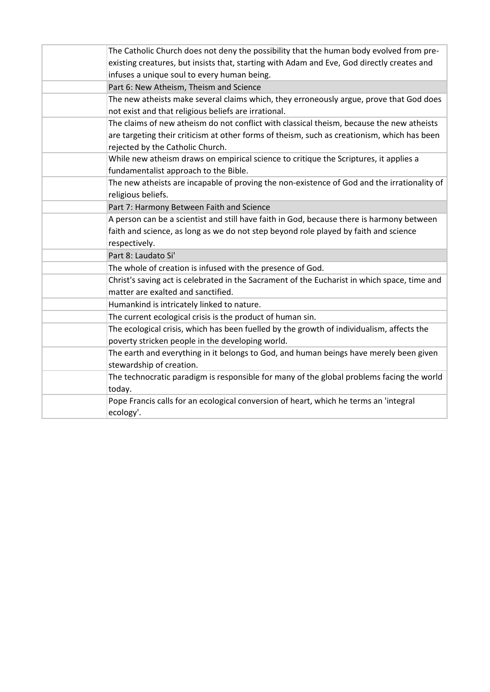| The Catholic Church does not deny the possibility that the human body evolved from pre-      |
|----------------------------------------------------------------------------------------------|
| existing creatures, but insists that, starting with Adam and Eve, God directly creates and   |
| infuses a unique soul to every human being.                                                  |
| Part 6: New Atheism, Theism and Science                                                      |
| The new atheists make several claims which, they erroneously argue, prove that God does      |
| not exist and that religious beliefs are irrational.                                         |
| The claims of new atheism do not conflict with classical theism, because the new atheists    |
| are targeting their criticism at other forms of theism, such as creationism, which has been  |
| rejected by the Catholic Church.                                                             |
| While new atheism draws on empirical science to critique the Scriptures, it applies a        |
| fundamentalist approach to the Bible.                                                        |
| The new atheists are incapable of proving the non-existence of God and the irrationality of  |
| religious beliefs.                                                                           |
| Part 7: Harmony Between Faith and Science                                                    |
| A person can be a scientist and still have faith in God, because there is harmony between    |
| faith and science, as long as we do not step beyond role played by faith and science         |
| respectively.                                                                                |
| Part 8: Laudato Si'                                                                          |
| The whole of creation is infused with the presence of God.                                   |
| Christ's saving act is celebrated in the Sacrament of the Eucharist in which space, time and |
| matter are exalted and sanctified.                                                           |
| Humankind is intricately linked to nature.                                                   |
| The current ecological crisis is the product of human sin.                                   |
| The ecological crisis, which has been fuelled by the growth of individualism, affects the    |
| poverty stricken people in the developing world.                                             |
| The earth and everything in it belongs to God, and human beings have merely been given       |
| stewardship of creation.                                                                     |
| The technocratic paradigm is responsible for many of the global problems facing the world    |
| today.                                                                                       |
| Pope Francis calls for an ecological conversion of heart, which he terms an 'integral        |
| ecology'.                                                                                    |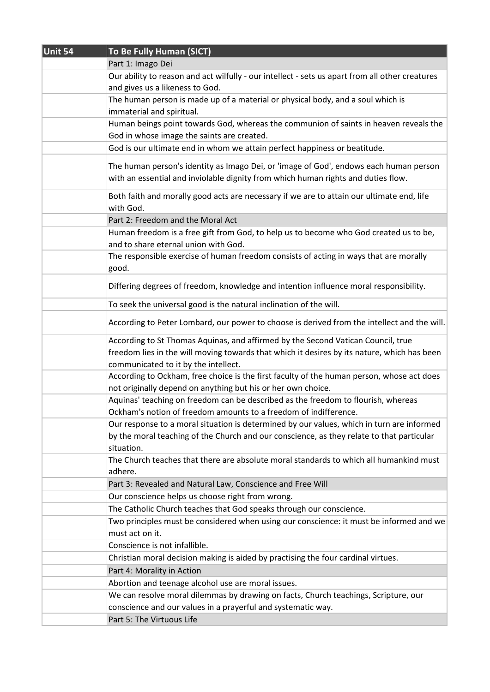| Unit 54 | To Be Fully Human (SICT)                                                                        |
|---------|-------------------------------------------------------------------------------------------------|
|         | Part 1: Imago Dei                                                                               |
|         | Our ability to reason and act wilfully - our intellect - sets us apart from all other creatures |
|         | and gives us a likeness to God.                                                                 |
|         | The human person is made up of a material or physical body, and a soul which is                 |
|         | immaterial and spiritual.                                                                       |
|         | Human beings point towards God, whereas the communion of saints in heaven reveals the           |
|         | God in whose image the saints are created.                                                      |
|         | God is our ultimate end in whom we attain perfect happiness or beatitude.                       |
|         |                                                                                                 |
|         | The human person's identity as Imago Dei, or 'image of God', endows each human person           |
|         | with an essential and inviolable dignity from which human rights and duties flow.               |
|         | Both faith and morally good acts are necessary if we are to attain our ultimate end, life       |
|         | with God.                                                                                       |
|         | Part 2: Freedom and the Moral Act                                                               |
|         | Human freedom is a free gift from God, to help us to become who God created us to be,           |
|         | and to share eternal union with God.                                                            |
|         | The responsible exercise of human freedom consists of acting in ways that are morally           |
|         | good.                                                                                           |
|         |                                                                                                 |
|         | Differing degrees of freedom, knowledge and intention influence moral responsibility.           |
|         | To seek the universal good is the natural inclination of the will.                              |
|         | According to Peter Lombard, our power to choose is derived from the intellect and the will.     |
|         | According to St Thomas Aquinas, and affirmed by the Second Vatican Council, true                |
|         | freedom lies in the will moving towards that which it desires by its nature, which has been     |
|         | communicated to it by the intellect.                                                            |
|         | According to Ockham, free choice is the first faculty of the human person, whose act does       |
|         | not originally depend on anything but his or her own choice.                                    |
|         | Aquinas' teaching on freedom can be described as the freedom to flourish, whereas               |
|         | Ockham's notion of freedom amounts to a freedom of indifference.                                |
|         | Our response to a moral situation is determined by our values, which in turn are informed       |
|         | by the moral teaching of the Church and our conscience, as they relate to that particular       |
|         | situation.                                                                                      |
|         | The Church teaches that there are absolute moral standards to which all humankind must          |
|         | adhere.                                                                                         |
|         | Part 3: Revealed and Natural Law, Conscience and Free Will                                      |
|         | Our conscience helps us choose right from wrong.                                                |
|         | The Catholic Church teaches that God speaks through our conscience.                             |
|         | Two principles must be considered when using our conscience: it must be informed and we         |
|         | must act on it.                                                                                 |
|         | Conscience is not infallible.                                                                   |
|         | Christian moral decision making is aided by practising the four cardinal virtues.               |
|         | Part 4: Morality in Action                                                                      |
|         | Abortion and teenage alcohol use are moral issues.                                              |
|         | We can resolve moral dilemmas by drawing on facts, Church teachings, Scripture, our             |
|         | conscience and our values in a prayerful and systematic way.                                    |
|         | Part 5: The Virtuous Life                                                                       |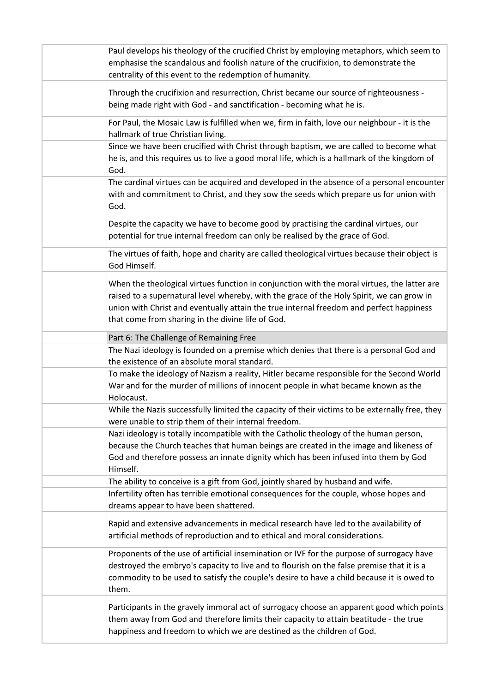| Paul develops his theology of the crucified Christ by employing metaphors, which seem to<br>emphasise the scandalous and foolish nature of the crucifixion, to demonstrate the<br>centrality of this event to the redemption of humanity.                                                                                                |
|------------------------------------------------------------------------------------------------------------------------------------------------------------------------------------------------------------------------------------------------------------------------------------------------------------------------------------------|
| Through the crucifixion and resurrection, Christ became our source of righteousness -<br>being made right with God - and sanctification - becoming what he is.                                                                                                                                                                           |
| For Paul, the Mosaic Law is fulfilled when we, firm in faith, love our neighbour - it is the<br>hallmark of true Christian living.                                                                                                                                                                                                       |
| Since we have been crucified with Christ through baptism, we are called to become what<br>he is, and this requires us to live a good moral life, which is a hallmark of the kingdom of<br>God.                                                                                                                                           |
| The cardinal virtues can be acquired and developed in the absence of a personal encounter<br>with and commitment to Christ, and they sow the seeds which prepare us for union with<br>God.                                                                                                                                               |
| Despite the capacity we have to become good by practising the cardinal virtues, our<br>potential for true internal freedom can only be realised by the grace of God.                                                                                                                                                                     |
| The virtues of faith, hope and charity are called theological virtues because their object is<br>God Himself.                                                                                                                                                                                                                            |
| When the theological virtues function in conjunction with the moral virtues, the latter are<br>raised to a supernatural level whereby, with the grace of the Holy Spirit, we can grow in<br>union with Christ and eventually attain the true internal freedom and perfect happiness<br>that come from sharing in the divine life of God. |
| Part 6: The Challenge of Remaining Free                                                                                                                                                                                                                                                                                                  |
| The Nazi ideology is founded on a premise which denies that there is a personal God and<br>the existence of an absolute moral standard.                                                                                                                                                                                                  |
| To make the ideology of Nazism a reality, Hitler became responsible for the Second World<br>War and for the murder of millions of innocent people in what became known as the<br>Holocaust.                                                                                                                                              |
| While the Nazis successfully limited the capacity of their victims to be externally free, they<br>were unable to strip them of their internal freedom.                                                                                                                                                                                   |
| Nazi ideology is totally incompatible with the Catholic theology of the human person,<br>because the Church teaches that human beings are created in the image and likeness of<br>God and therefore possess an innate dignity which has been infused into them by God<br>Himself.                                                        |
| The ability to conceive is a gift from God, jointly shared by husband and wife.                                                                                                                                                                                                                                                          |
| Infertility often has terrible emotional consequences for the couple, whose hopes and<br>dreams appear to have been shattered.                                                                                                                                                                                                           |
| Rapid and extensive advancements in medical research have led to the availability of<br>artificial methods of reproduction and to ethical and moral considerations.                                                                                                                                                                      |
| Proponents of the use of artificial insemination or IVF for the purpose of surrogacy have<br>destroyed the embryo's capacity to live and to flourish on the false premise that it is a<br>commodity to be used to satisfy the couple's desire to have a child because it is owed to<br>them.                                             |
| Participants in the gravely immoral act of surrogacy choose an apparent good which points<br>them away from God and therefore limits their capacity to attain beatitude - the true<br>happiness and freedom to which we are destined as the children of God.                                                                             |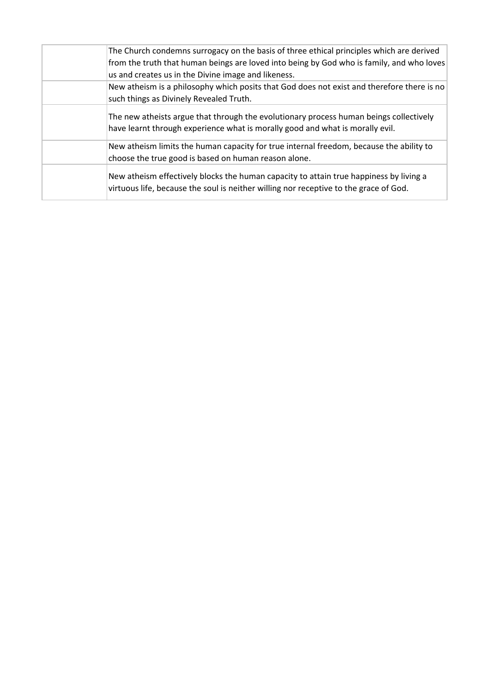| The Church condemns surrogacy on the basis of three ethical principles which are derived                                                                                        |
|---------------------------------------------------------------------------------------------------------------------------------------------------------------------------------|
| from the truth that human beings are loved into being by God who is family, and who loves                                                                                       |
| us and creates us in the Divine image and likeness.                                                                                                                             |
| New atheism is a philosophy which posits that God does not exist and therefore there is no                                                                                      |
| such things as Divinely Revealed Truth.                                                                                                                                         |
| The new atheists argue that through the evolutionary process human beings collectively<br>have learnt through experience what is morally good and what is morally evil.         |
| New atheism limits the human capacity for true internal freedom, because the ability to<br>choose the true good is based on human reason alone.                                 |
| New atheism effectively blocks the human capacity to attain true happiness by living a<br>virtuous life, because the soul is neither willing nor receptive to the grace of God. |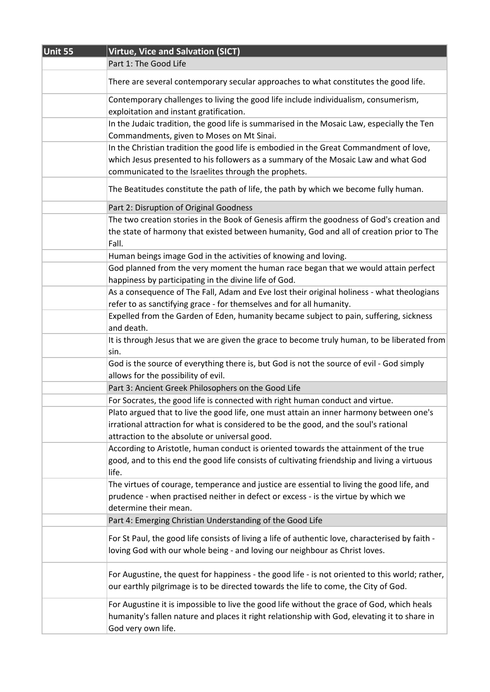| Unit 55 | Virtue, Vice and Salvation (SICT)                                                                                                                                                                                                    |
|---------|--------------------------------------------------------------------------------------------------------------------------------------------------------------------------------------------------------------------------------------|
|         | Part 1: The Good Life                                                                                                                                                                                                                |
|         | There are several contemporary secular approaches to what constitutes the good life.                                                                                                                                                 |
|         | Contemporary challenges to living the good life include individualism, consumerism,<br>exploitation and instant gratification.                                                                                                       |
|         | In the Judaic tradition, the good life is summarised in the Mosaic Law, especially the Ten<br>Commandments, given to Moses on Mt Sinai.                                                                                              |
|         | In the Christian tradition the good life is embodied in the Great Commandment of love,<br>which Jesus presented to his followers as a summary of the Mosaic Law and what God<br>communicated to the Israelites through the prophets. |
|         | The Beatitudes constitute the path of life, the path by which we become fully human.                                                                                                                                                 |
|         | Part 2: Disruption of Original Goodness                                                                                                                                                                                              |
|         | The two creation stories in the Book of Genesis affirm the goodness of God's creation and<br>the state of harmony that existed between humanity, God and all of creation prior to The<br>Fall.                                       |
|         | Human beings image God in the activities of knowing and loving.                                                                                                                                                                      |
|         | God planned from the very moment the human race began that we would attain perfect<br>happiness by participating in the divine life of God.                                                                                          |
|         | As a consequence of The Fall, Adam and Eve lost their original holiness - what theologians<br>refer to as sanctifying grace - for themselves and for all humanity.                                                                   |
|         | Expelled from the Garden of Eden, humanity became subject to pain, suffering, sickness<br>and death.                                                                                                                                 |
|         | It is through Jesus that we are given the grace to become truly human, to be liberated from<br>sin.                                                                                                                                  |
|         | God is the source of everything there is, but God is not the source of evil - God simply<br>allows for the possibility of evil.                                                                                                      |
|         | Part 3: Ancient Greek Philosophers on the Good Life                                                                                                                                                                                  |
|         | For Socrates, the good life is connected with right human conduct and virtue.                                                                                                                                                        |
|         | Plato argued that to live the good life, one must attain an inner harmony between one's<br>irrational attraction for what is considered to be the good, and the soul's rational<br>attraction to the absolute or universal good.     |
|         | According to Aristotle, human conduct is oriented towards the attainment of the true<br>good, and to this end the good life consists of cultivating friendship and living a virtuous<br>life.                                        |
|         | The virtues of courage, temperance and justice are essential to living the good life, and<br>prudence - when practised neither in defect or excess - is the virtue by which we<br>determine their mean.                              |
|         | Part 4: Emerging Christian Understanding of the Good Life                                                                                                                                                                            |
|         | For St Paul, the good life consists of living a life of authentic love, characterised by faith -<br>loving God with our whole being - and loving our neighbour as Christ loves.                                                      |
|         | For Augustine, the quest for happiness - the good life - is not oriented to this world; rather,<br>our earthly pilgrimage is to be directed towards the life to come, the City of God.                                               |
|         | For Augustine it is impossible to live the good life without the grace of God, which heals<br>humanity's fallen nature and places it right relationship with God, elevating it to share in<br>God very own life.                     |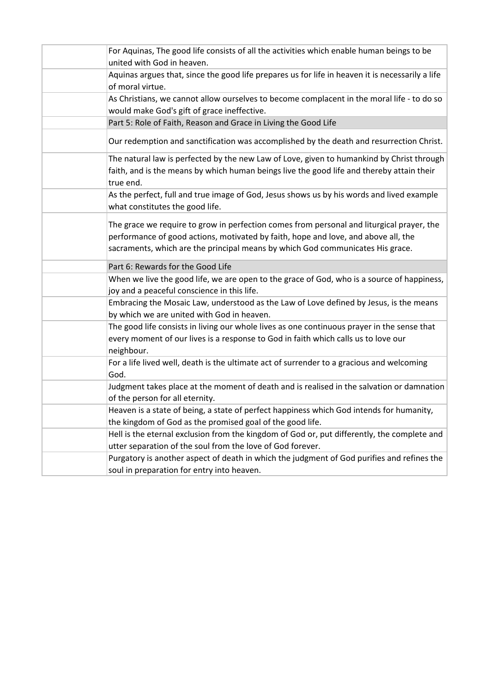| For Aquinas, The good life consists of all the activities which enable human beings to be<br>united with God in heaven.                                                                                                                                           |
|-------------------------------------------------------------------------------------------------------------------------------------------------------------------------------------------------------------------------------------------------------------------|
| Aquinas argues that, since the good life prepares us for life in heaven it is necessarily a life<br>of moral virtue.                                                                                                                                              |
| As Christians, we cannot allow ourselves to become complacent in the moral life - to do so<br>would make God's gift of grace ineffective.                                                                                                                         |
| Part 5: Role of Faith, Reason and Grace in Living the Good Life                                                                                                                                                                                                   |
| Our redemption and sanctification was accomplished by the death and resurrection Christ.                                                                                                                                                                          |
| The natural law is perfected by the new Law of Love, given to humankind by Christ through<br>faith, and is the means by which human beings live the good life and thereby attain their<br>true end.                                                               |
| As the perfect, full and true image of God, Jesus shows us by his words and lived example<br>what constitutes the good life.                                                                                                                                      |
| The grace we require to grow in perfection comes from personal and liturgical prayer, the<br>performance of good actions, motivated by faith, hope and love, and above all, the<br>sacraments, which are the principal means by which God communicates His grace. |
| Part 6: Rewards for the Good Life                                                                                                                                                                                                                                 |
| When we live the good life, we are open to the grace of God, who is a source of happiness,<br>joy and a peaceful conscience in this life.                                                                                                                         |
| Embracing the Mosaic Law, understood as the Law of Love defined by Jesus, is the means<br>by which we are united with God in heaven.                                                                                                                              |
| The good life consists in living our whole lives as one continuous prayer in the sense that<br>every moment of our lives is a response to God in faith which calls us to love our<br>neighbour.                                                                   |
| For a life lived well, death is the ultimate act of surrender to a gracious and welcoming<br>God.                                                                                                                                                                 |
| Judgment takes place at the moment of death and is realised in the salvation or damnation<br>of the person for all eternity.                                                                                                                                      |
| Heaven is a state of being, a state of perfect happiness which God intends for humanity,<br>the kingdom of God as the promised goal of the good life.                                                                                                             |
| Hell is the eternal exclusion from the kingdom of God or, put differently, the complete and                                                                                                                                                                       |
| utter separation of the soul from the love of God forever.                                                                                                                                                                                                        |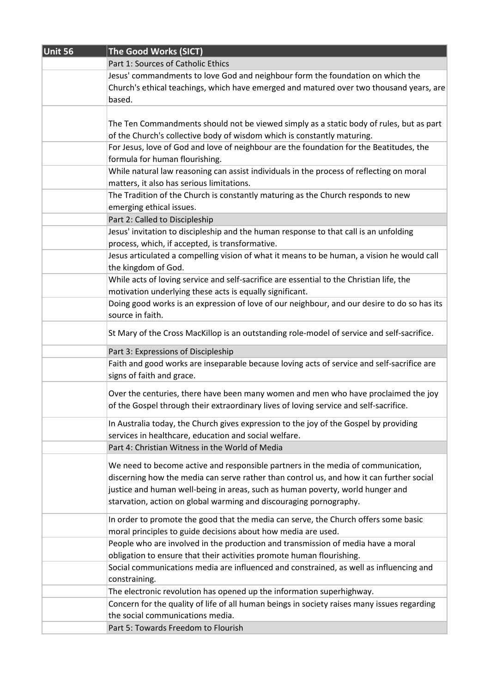| Unit 56 | The Good Works (SICT)                                                                       |
|---------|---------------------------------------------------------------------------------------------|
|         | Part 1: Sources of Catholic Ethics                                                          |
|         | Jesus' commandments to love God and neighbour form the foundation on which the              |
|         | Church's ethical teachings, which have emerged and matured over two thousand years, are     |
|         | based.                                                                                      |
|         |                                                                                             |
|         | The Ten Commandments should not be viewed simply as a static body of rules, but as part     |
|         | of the Church's collective body of wisdom which is constantly maturing.                     |
|         | For Jesus, love of God and love of neighbour are the foundation for the Beatitudes, the     |
|         | formula for human flourishing.                                                              |
|         | While natural law reasoning can assist individuals in the process of reflecting on moral    |
|         | matters, it also has serious limitations.                                                   |
|         | The Tradition of the Church is constantly maturing as the Church responds to new            |
|         | emerging ethical issues.                                                                    |
|         | Part 2: Called to Discipleship                                                              |
|         | Jesus' invitation to discipleship and the human response to that call is an unfolding       |
|         | process, which, if accepted, is transformative.                                             |
|         | Jesus articulated a compelling vision of what it means to be human, a vision he would call  |
|         | the kingdom of God.                                                                         |
|         | While acts of loving service and self-sacrifice are essential to the Christian life, the    |
|         | motivation underlying these acts is equally significant.                                    |
|         | Doing good works is an expression of love of our neighbour, and our desire to do so has its |
|         | source in faith.                                                                            |
|         | St Mary of the Cross MacKillop is an outstanding role-model of service and self-sacrifice.  |
|         | Part 3: Expressions of Discipleship                                                         |
|         | Faith and good works are inseparable because loving acts of service and self-sacrifice are  |
|         | signs of faith and grace.                                                                   |
|         | Over the centuries, there have been many women and men who have proclaimed the joy          |
|         | of the Gospel through their extraordinary lives of loving service and self-sacrifice.       |
|         | In Australia today, the Church gives expression to the joy of the Gospel by providing       |
|         | services in healthcare, education and social welfare.                                       |
|         | Part 4: Christian Witness in the World of Media                                             |
|         |                                                                                             |
|         | We need to become active and responsible partners in the media of communication,            |
|         | discerning how the media can serve rather than control us, and how it can further social    |
|         | justice and human well-being in areas, such as human poverty, world hunger and              |
|         | starvation, action on global warming and discouraging pornography.                          |
|         | In order to promote the good that the media can serve, the Church offers some basic         |
|         | moral principles to guide decisions about how media are used.                               |
|         | People who are involved in the production and transmission of media have a moral            |
|         | obligation to ensure that their activities promote human flourishing.                       |
|         | Social communications media are influenced and constrained, as well as influencing and      |
|         | constraining.                                                                               |
|         | The electronic revolution has opened up the information superhighway.                       |
|         | Concern for the quality of life of all human beings in society raises many issues regarding |
|         | the social communications media.                                                            |
|         | Part 5: Towards Freedom to Flourish                                                         |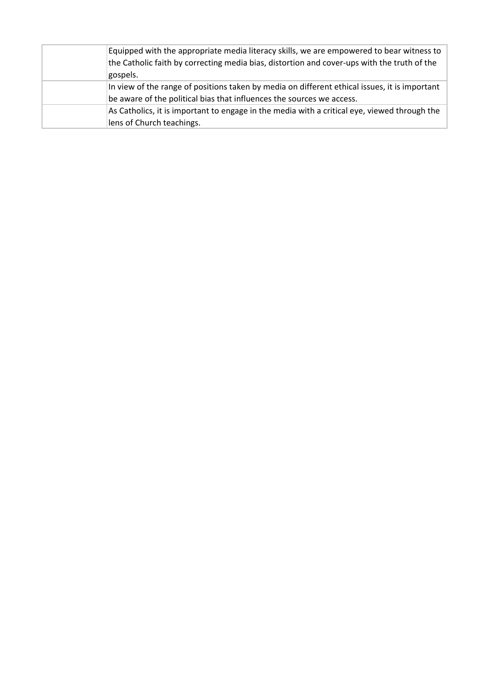| Equipped with the appropriate media literacy skills, we are empowered to bear witness to      |
|-----------------------------------------------------------------------------------------------|
| the Catholic faith by correcting media bias, distortion and cover-ups with the truth of the   |
| gospels.                                                                                      |
| In view of the range of positions taken by media on different ethical issues, it is important |
| be aware of the political bias that influences the sources we access.                         |
| As Catholics, it is important to engage in the media with a critical eye, viewed through the  |
| lens of Church teachings.                                                                     |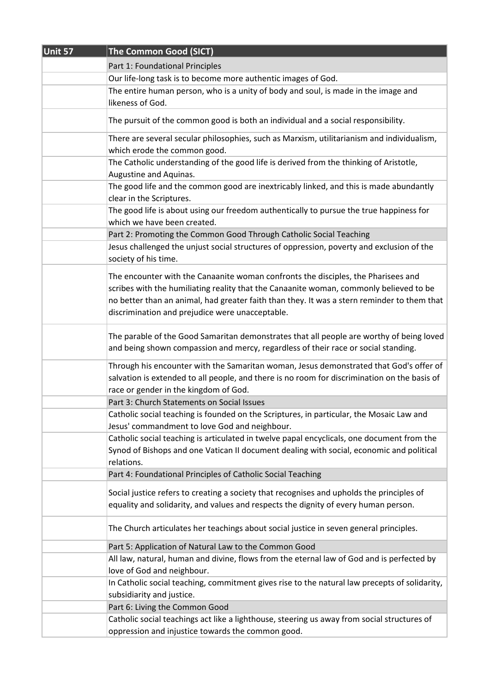| Unit 57 | The Common Good (SICT)                                                                                                                                                                                                                                                                                                        |
|---------|-------------------------------------------------------------------------------------------------------------------------------------------------------------------------------------------------------------------------------------------------------------------------------------------------------------------------------|
|         | Part 1: Foundational Principles                                                                                                                                                                                                                                                                                               |
|         | Our life-long task is to become more authentic images of God.                                                                                                                                                                                                                                                                 |
|         | The entire human person, who is a unity of body and soul, is made in the image and                                                                                                                                                                                                                                            |
|         | likeness of God.                                                                                                                                                                                                                                                                                                              |
|         | The pursuit of the common good is both an individual and a social responsibility.                                                                                                                                                                                                                                             |
|         | There are several secular philosophies, such as Marxism, utilitarianism and individualism,                                                                                                                                                                                                                                    |
|         | which erode the common good.<br>The Catholic understanding of the good life is derived from the thinking of Aristotle,                                                                                                                                                                                                        |
|         | Augustine and Aquinas.                                                                                                                                                                                                                                                                                                        |
|         | The good life and the common good are inextricably linked, and this is made abundantly                                                                                                                                                                                                                                        |
|         | clear in the Scriptures.                                                                                                                                                                                                                                                                                                      |
|         | The good life is about using our freedom authentically to pursue the true happiness for<br>which we have been created.                                                                                                                                                                                                        |
|         | Part 2: Promoting the Common Good Through Catholic Social Teaching                                                                                                                                                                                                                                                            |
|         | Jesus challenged the unjust social structures of oppression, poverty and exclusion of the<br>society of his time.                                                                                                                                                                                                             |
|         | The encounter with the Canaanite woman confronts the disciples, the Pharisees and<br>scribes with the humiliating reality that the Canaanite woman, commonly believed to be<br>no better than an animal, had greater faith than they. It was a stern reminder to them that<br>discrimination and prejudice were unacceptable. |
|         | The parable of the Good Samaritan demonstrates that all people are worthy of being loved<br>and being shown compassion and mercy, regardless of their race or social standing.                                                                                                                                                |
|         | Through his encounter with the Samaritan woman, Jesus demonstrated that God's offer of<br>salvation is extended to all people, and there is no room for discrimination on the basis of<br>race or gender in the kingdom of God.                                                                                               |
|         | Part 3: Church Statements on Social Issues                                                                                                                                                                                                                                                                                    |
|         | Catholic social teaching is founded on the Scriptures, in particular, the Mosaic Law and<br>Jesus' commandment to love God and neighbour.                                                                                                                                                                                     |
|         | Catholic social teaching is articulated in twelve papal encyclicals, one document from the<br>Synod of Bishops and one Vatican II document dealing with social, economic and political<br>relations.                                                                                                                          |
|         | Part 4: Foundational Principles of Catholic Social Teaching                                                                                                                                                                                                                                                                   |
|         | Social justice refers to creating a society that recognises and upholds the principles of<br>equality and solidarity, and values and respects the dignity of every human person.                                                                                                                                              |
|         | The Church articulates her teachings about social justice in seven general principles.                                                                                                                                                                                                                                        |
|         | Part 5: Application of Natural Law to the Common Good                                                                                                                                                                                                                                                                         |
|         | All law, natural, human and divine, flows from the eternal law of God and is perfected by<br>love of God and neighbour.                                                                                                                                                                                                       |
|         | In Catholic social teaching, commitment gives rise to the natural law precepts of solidarity,<br>subsidiarity and justice.                                                                                                                                                                                                    |
|         | Part 6: Living the Common Good                                                                                                                                                                                                                                                                                                |
|         | Catholic social teachings act like a lighthouse, steering us away from social structures of                                                                                                                                                                                                                                   |
|         | oppression and injustice towards the common good.                                                                                                                                                                                                                                                                             |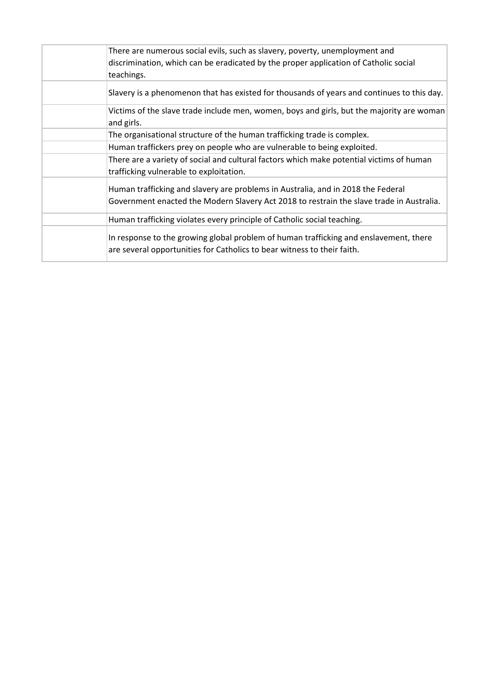| There are numerous social evils, such as slavery, poverty, unemployment and<br>discrimination, which can be eradicated by the proper application of Catholic social<br>teachings. |
|-----------------------------------------------------------------------------------------------------------------------------------------------------------------------------------|
| Slavery is a phenomenon that has existed for thousands of years and continues to this day.                                                                                        |
| Victims of the slave trade include men, women, boys and girls, but the majority are woman<br>and girls.                                                                           |
| The organisational structure of the human trafficking trade is complex.                                                                                                           |
| Human traffickers prey on people who are vulnerable to being exploited.                                                                                                           |
| There are a variety of social and cultural factors which make potential victims of human<br>trafficking vulnerable to exploitation.                                               |
| Human trafficking and slavery are problems in Australia, and in 2018 the Federal<br>Government enacted the Modern Slavery Act 2018 to restrain the slave trade in Australia.      |
| Human trafficking violates every principle of Catholic social teaching.                                                                                                           |
| In response to the growing global problem of human trafficking and enslavement, there<br>are several opportunities for Catholics to bear witness to their faith.                  |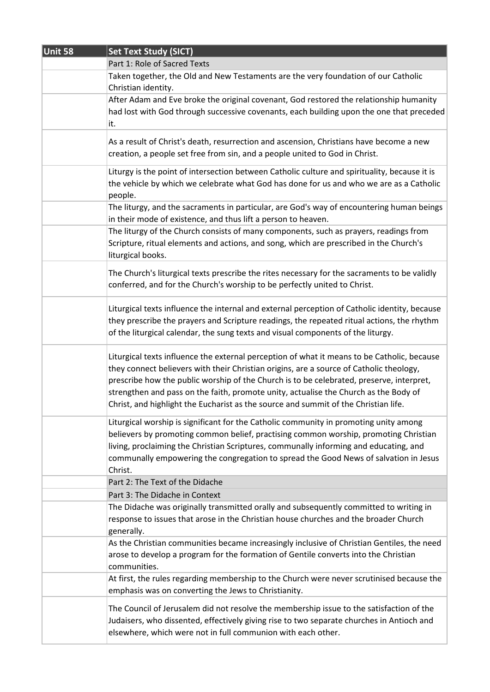| Unit 58 | <b>Set Text Study (SICT)</b>                                                                                                                                                                                                                                                                                                                                                                                                                                      |
|---------|-------------------------------------------------------------------------------------------------------------------------------------------------------------------------------------------------------------------------------------------------------------------------------------------------------------------------------------------------------------------------------------------------------------------------------------------------------------------|
|         | Part 1: Role of Sacred Texts                                                                                                                                                                                                                                                                                                                                                                                                                                      |
|         | Taken together, the Old and New Testaments are the very foundation of our Catholic<br>Christian identity.                                                                                                                                                                                                                                                                                                                                                         |
|         | After Adam and Eve broke the original covenant, God restored the relationship humanity<br>had lost with God through successive covenants, each building upon the one that preceded<br>it.                                                                                                                                                                                                                                                                         |
|         | As a result of Christ's death, resurrection and ascension, Christians have become a new<br>creation, a people set free from sin, and a people united to God in Christ.                                                                                                                                                                                                                                                                                            |
|         | Liturgy is the point of intersection between Catholic culture and spirituality, because it is<br>the vehicle by which we celebrate what God has done for us and who we are as a Catholic<br>people.                                                                                                                                                                                                                                                               |
|         | The liturgy, and the sacraments in particular, are God's way of encountering human beings<br>in their mode of existence, and thus lift a person to heaven.                                                                                                                                                                                                                                                                                                        |
|         | The liturgy of the Church consists of many components, such as prayers, readings from<br>Scripture, ritual elements and actions, and song, which are prescribed in the Church's<br>liturgical books.                                                                                                                                                                                                                                                              |
|         | The Church's liturgical texts prescribe the rites necessary for the sacraments to be validly<br>conferred, and for the Church's worship to be perfectly united to Christ.                                                                                                                                                                                                                                                                                         |
|         | Liturgical texts influence the internal and external perception of Catholic identity, because<br>they prescribe the prayers and Scripture readings, the repeated ritual actions, the rhythm<br>of the liturgical calendar, the sung texts and visual components of the liturgy.                                                                                                                                                                                   |
|         | Liturgical texts influence the external perception of what it means to be Catholic, because<br>they connect believers with their Christian origins, are a source of Catholic theology,<br>prescribe how the public worship of the Church is to be celebrated, preserve, interpret,<br>strengthen and pass on the faith, promote unity, actualise the Church as the Body of<br>Christ, and highlight the Eucharist as the source and summit of the Christian life. |
|         | Liturgical worship is significant for the Catholic community in promoting unity among<br>believers by promoting common belief, practising common worship, promoting Christian<br>living, proclaiming the Christian Scriptures, communally informing and educating, and<br>communally empowering the congregation to spread the Good News of salvation in Jesus<br>Christ.                                                                                         |
|         | Part 2: The Text of the Didache                                                                                                                                                                                                                                                                                                                                                                                                                                   |
|         | Part 3: The Didache in Context                                                                                                                                                                                                                                                                                                                                                                                                                                    |
|         | The Didache was originally transmitted orally and subsequently committed to writing in<br>response to issues that arose in the Christian house churches and the broader Church<br>generally.                                                                                                                                                                                                                                                                      |
|         | As the Christian communities became increasingly inclusive of Christian Gentiles, the need<br>arose to develop a program for the formation of Gentile converts into the Christian<br>communities.                                                                                                                                                                                                                                                                 |
|         | At first, the rules regarding membership to the Church were never scrutinised because the<br>emphasis was on converting the Jews to Christianity.                                                                                                                                                                                                                                                                                                                 |
|         | The Council of Jerusalem did not resolve the membership issue to the satisfaction of the<br>Judaisers, who dissented, effectively giving rise to two separate churches in Antioch and<br>elsewhere, which were not in full communion with each other.                                                                                                                                                                                                             |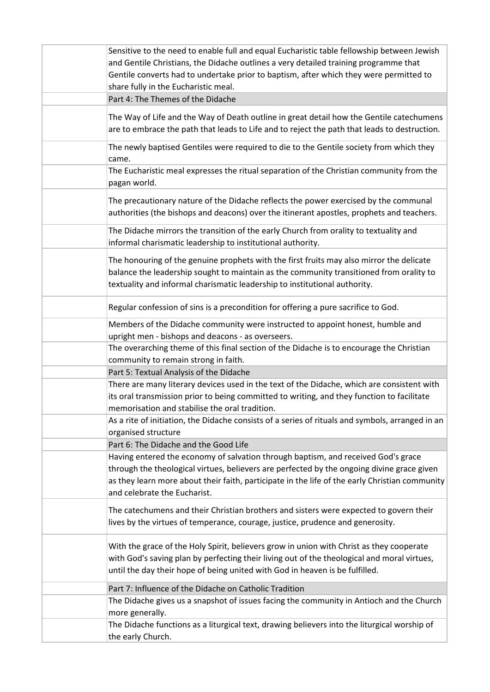| Sensitive to the need to enable full and equal Eucharistic table fellowship between Jewish<br>and Gentile Christians, the Didache outlines a very detailed training programme that<br>Gentile converts had to undertake prior to baptism, after which they were permitted to<br>share fully in the Eucharistic meal. |
|----------------------------------------------------------------------------------------------------------------------------------------------------------------------------------------------------------------------------------------------------------------------------------------------------------------------|
| Part 4: The Themes of the Didache                                                                                                                                                                                                                                                                                    |
| The Way of Life and the Way of Death outline in great detail how the Gentile catechumens<br>are to embrace the path that leads to Life and to reject the path that leads to destruction.                                                                                                                             |
| The newly baptised Gentiles were required to die to the Gentile society from which they<br>came.                                                                                                                                                                                                                     |
| The Eucharistic meal expresses the ritual separation of the Christian community from the<br>pagan world.                                                                                                                                                                                                             |
| The precautionary nature of the Didache reflects the power exercised by the communal<br>authorities (the bishops and deacons) over the itinerant apostles, prophets and teachers.                                                                                                                                    |
| The Didache mirrors the transition of the early Church from orality to textuality and<br>informal charismatic leadership to institutional authority.                                                                                                                                                                 |
| The honouring of the genuine prophets with the first fruits may also mirror the delicate<br>balance the leadership sought to maintain as the community transitioned from orality to<br>textuality and informal charismatic leadership to institutional authority.                                                    |
| Regular confession of sins is a precondition for offering a pure sacrifice to God.                                                                                                                                                                                                                                   |
| Members of the Didache community were instructed to appoint honest, humble and<br>upright men - bishops and deacons - as overseers.                                                                                                                                                                                  |
| The overarching theme of this final section of the Didache is to encourage the Christian<br>community to remain strong in faith.                                                                                                                                                                                     |
| Part 5: Textual Analysis of the Didache                                                                                                                                                                                                                                                                              |
| There are many literary devices used in the text of the Didache, which are consistent with<br>its oral transmission prior to being committed to writing, and they function to facilitate<br>memorisation and stabilise the oral tradition.                                                                           |
| As a rite of initiation, the Didache consists of a series of rituals and symbols, arranged in an<br>organised structure                                                                                                                                                                                              |
| Part 6: The Didache and the Good Life                                                                                                                                                                                                                                                                                |
| Having entered the economy of salvation through baptism, and received God's grace<br>through the theological virtues, believers are perfected by the ongoing divine grace given<br>as they learn more about their faith, participate in the life of the early Christian community<br>and celebrate the Eucharist.    |
| The catechumens and their Christian brothers and sisters were expected to govern their<br>lives by the virtues of temperance, courage, justice, prudence and generosity.                                                                                                                                             |
| With the grace of the Holy Spirit, believers grow in union with Christ as they cooperate<br>with God's saving plan by perfecting their living out of the theological and moral virtues,<br>until the day their hope of being united with God in heaven is be fulfilled.                                              |
| Part 7: Influence of the Didache on Catholic Tradition                                                                                                                                                                                                                                                               |
| The Didache gives us a snapshot of issues facing the community in Antioch and the Church<br>more generally.                                                                                                                                                                                                          |
| The Didache functions as a liturgical text, drawing believers into the liturgical worship of<br>the early Church.                                                                                                                                                                                                    |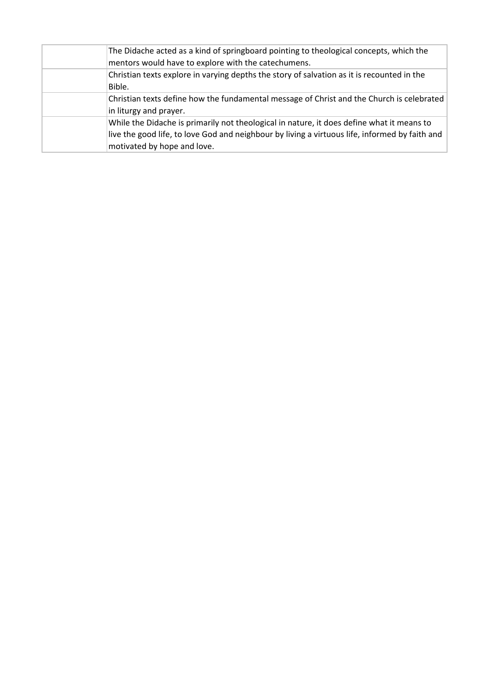| The Didache acted as a kind of springboard pointing to theological concepts, which the<br>mentors would have to explore with the catechumens.                                                                              |
|----------------------------------------------------------------------------------------------------------------------------------------------------------------------------------------------------------------------------|
| Christian texts explore in varying depths the story of salvation as it is recounted in the<br>Bible.                                                                                                                       |
| Christian texts define how the fundamental message of Christ and the Church is celebrated<br>in liturgy and prayer.                                                                                                        |
| While the Didache is primarily not theological in nature, it does define what it means to<br>live the good life, to love God and neighbour by living a virtuous life, informed by faith and<br>motivated by hope and love. |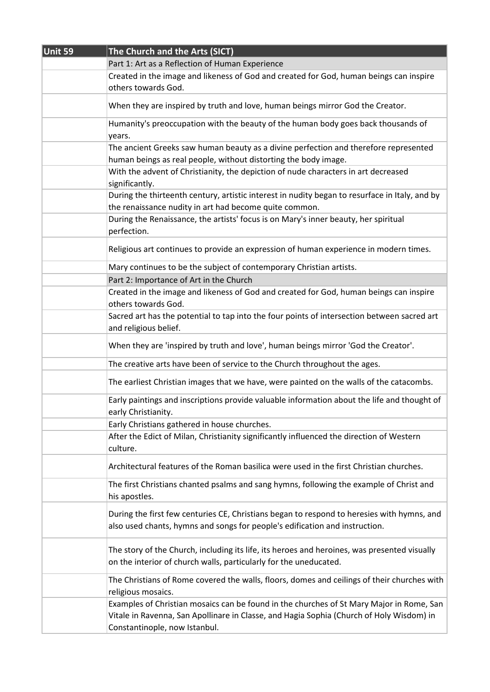| Unit 59 | The Church and the Arts (SICT)                                                                                                                                                                                        |
|---------|-----------------------------------------------------------------------------------------------------------------------------------------------------------------------------------------------------------------------|
|         | Part 1: Art as a Reflection of Human Experience                                                                                                                                                                       |
|         | Created in the image and likeness of God and created for God, human beings can inspire<br>others towards God.                                                                                                         |
|         |                                                                                                                                                                                                                       |
|         | When they are inspired by truth and love, human beings mirror God the Creator.                                                                                                                                        |
|         | Humanity's preoccupation with the beauty of the human body goes back thousands of<br>years.                                                                                                                           |
|         | The ancient Greeks saw human beauty as a divine perfection and therefore represented<br>human beings as real people, without distorting the body image.                                                               |
|         | With the advent of Christianity, the depiction of nude characters in art decreased<br>significantly.                                                                                                                  |
|         | During the thirteenth century, artistic interest in nudity began to resurface in Italy, and by<br>the renaissance nudity in art had become quite common.                                                              |
|         | During the Renaissance, the artists' focus is on Mary's inner beauty, her spiritual<br>perfection.                                                                                                                    |
|         | Religious art continues to provide an expression of human experience in modern times.                                                                                                                                 |
|         | Mary continues to be the subject of contemporary Christian artists.                                                                                                                                                   |
|         | Part 2: Importance of Art in the Church                                                                                                                                                                               |
|         | Created in the image and likeness of God and created for God, human beings can inspire<br>others towards God.                                                                                                         |
|         | Sacred art has the potential to tap into the four points of intersection between sacred art<br>and religious belief.                                                                                                  |
|         | When they are 'inspired by truth and love', human beings mirror 'God the Creator'.                                                                                                                                    |
|         | The creative arts have been of service to the Church throughout the ages.                                                                                                                                             |
|         | The earliest Christian images that we have, were painted on the walls of the catacombs.                                                                                                                               |
|         | Early paintings and inscriptions provide valuable information about the life and thought of<br>early Christianity.                                                                                                    |
|         | Early Christians gathered in house churches.                                                                                                                                                                          |
|         | After the Edict of Milan, Christianity significantly influenced the direction of Western<br>culture.                                                                                                                  |
|         | Architectural features of the Roman basilica were used in the first Christian churches.                                                                                                                               |
|         | The first Christians chanted psalms and sang hymns, following the example of Christ and<br>his apostles.                                                                                                              |
|         | During the first few centuries CE, Christians began to respond to heresies with hymns, and<br>also used chants, hymns and songs for people's edification and instruction.                                             |
|         | The story of the Church, including its life, its heroes and heroines, was presented visually<br>on the interior of church walls, particularly for the uneducated.                                                     |
|         | The Christians of Rome covered the walls, floors, domes and ceilings of their churches with<br>religious mosaics.                                                                                                     |
|         | Examples of Christian mosaics can be found in the churches of St Mary Major in Rome, San<br>Vitale in Ravenna, San Apollinare in Classe, and Hagia Sophia (Church of Holy Wisdom) in<br>Constantinople, now Istanbul. |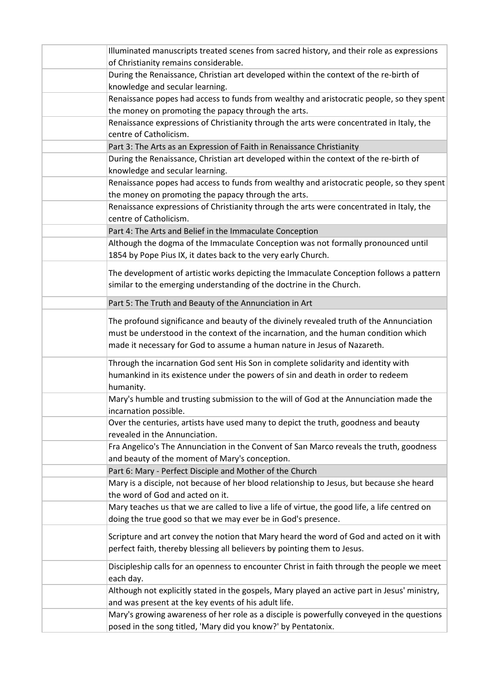| Illuminated manuscripts treated scenes from sacred history, and their role as expressions                                |
|--------------------------------------------------------------------------------------------------------------------------|
| of Christianity remains considerable.                                                                                    |
| During the Renaissance, Christian art developed within the context of the re-birth of<br>knowledge and secular learning. |
| Renaissance popes had access to funds from wealthy and aristocratic people, so they spent                                |
| the money on promoting the papacy through the arts.                                                                      |
| Renaissance expressions of Christianity through the arts were concentrated in Italy, the                                 |
| centre of Catholicism.                                                                                                   |
| Part 3: The Arts as an Expression of Faith in Renaissance Christianity                                                   |
| During the Renaissance, Christian art developed within the context of the re-birth of                                    |
| knowledge and secular learning.                                                                                          |
| Renaissance popes had access to funds from wealthy and aristocratic people, so they spent                                |
| the money on promoting the papacy through the arts.                                                                      |
| Renaissance expressions of Christianity through the arts were concentrated in Italy, the<br>centre of Catholicism.       |
| Part 4: The Arts and Belief in the Immaculate Conception                                                                 |
| Although the dogma of the Immaculate Conception was not formally pronounced until                                        |
| 1854 by Pope Pius IX, it dates back to the very early Church.                                                            |
|                                                                                                                          |
| The development of artistic works depicting the Immaculate Conception follows a pattern                                  |
| similar to the emerging understanding of the doctrine in the Church.                                                     |
| Part 5: The Truth and Beauty of the Annunciation in Art                                                                  |
| The profound significance and beauty of the divinely revealed truth of the Annunciation                                  |
| must be understood in the context of the incarnation, and the human condition which                                      |
| made it necessary for God to assume a human nature in Jesus of Nazareth.                                                 |
| Through the incarnation God sent His Son in complete solidarity and identity with                                        |
| humankind in its existence under the powers of sin and death in order to redeem                                          |
| humanity.                                                                                                                |
| Mary's humble and trusting submission to the will of God at the Annunciation made the                                    |
| incarnation possible.                                                                                                    |
| Over the centuries, artists have used many to depict the truth, goodness and beauty                                      |
| revealed in the Annunciation.                                                                                            |
| Fra Angelico's The Annunciation in the Convent of San Marco reveals the truth, goodness                                  |
| and beauty of the moment of Mary's conception.                                                                           |
| Part 6: Mary - Perfect Disciple and Mother of the Church                                                                 |
| Mary is a disciple, not because of her blood relationship to Jesus, but because she heard                                |
| the word of God and acted on it.                                                                                         |
| Mary teaches us that we are called to live a life of virtue, the good life, a life centred on                            |
| doing the true good so that we may ever be in God's presence.                                                            |
| Scripture and art convey the notion that Mary heard the word of God and acted on it with                                 |
| perfect faith, thereby blessing all believers by pointing them to Jesus.                                                 |
| Discipleship calls for an openness to encounter Christ in faith through the people we meet                               |
| each day.                                                                                                                |
| Although not explicitly stated in the gospels, Mary played an active part in Jesus' ministry,                            |
| and was present at the key events of his adult life.                                                                     |
| Mary's growing awareness of her role as a disciple is powerfully conveyed in the questions                               |
| posed in the song titled, 'Mary did you know?' by Pentatonix.                                                            |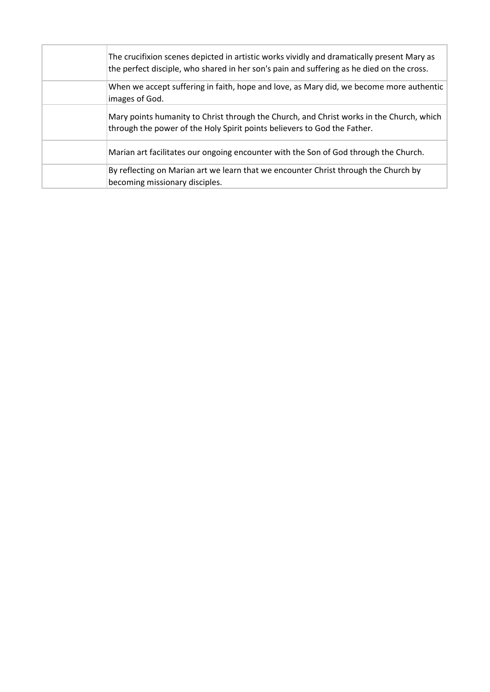| The crucifixion scenes depicted in artistic works vividly and dramatically present Mary as<br>the perfect disciple, who shared in her son's pain and suffering as he died on the cross. |
|-----------------------------------------------------------------------------------------------------------------------------------------------------------------------------------------|
| When we accept suffering in faith, hope and love, as Mary did, we become more authentic<br>images of God.                                                                               |
| Mary points humanity to Christ through the Church, and Christ works in the Church, which<br>through the power of the Holy Spirit points believers to God the Father.                    |
| Marian art facilitates our ongoing encounter with the Son of God through the Church.                                                                                                    |
| By reflecting on Marian art we learn that we encounter Christ through the Church by<br>becoming missionary disciples.                                                                   |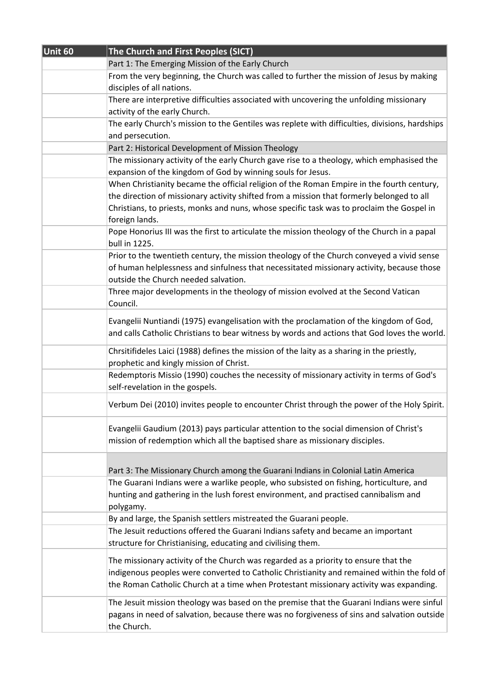| Unit 60 | The Church and First Peoples (SICT)                                                            |
|---------|------------------------------------------------------------------------------------------------|
|         | Part 1: The Emerging Mission of the Early Church                                               |
|         | From the very beginning, the Church was called to further the mission of Jesus by making       |
|         | disciples of all nations.                                                                      |
|         | There are interpretive difficulties associated with uncovering the unfolding missionary        |
|         | activity of the early Church.                                                                  |
|         | The early Church's mission to the Gentiles was replete with difficulties, divisions, hardships |
|         | and persecution.                                                                               |
|         | Part 2: Historical Development of Mission Theology                                             |
|         | The missionary activity of the early Church gave rise to a theology, which emphasised the      |
|         | expansion of the kingdom of God by winning souls for Jesus.                                    |
|         | When Christianity became the official religion of the Roman Empire in the fourth century,      |
|         | the direction of missionary activity shifted from a mission that formerly belonged to all      |
|         | Christians, to priests, monks and nuns, whose specific task was to proclaim the Gospel in      |
|         | foreign lands.                                                                                 |
|         | Pope Honorius III was the first to articulate the mission theology of the Church in a papal    |
|         | bull in 1225.                                                                                  |
|         | Prior to the twentieth century, the mission theology of the Church conveyed a vivid sense      |
|         | of human helplessness and sinfulness that necessitated missionary activity, because those      |
|         | outside the Church needed salvation.                                                           |
|         | Three major developments in the theology of mission evolved at the Second Vatican              |
|         | Council.                                                                                       |
|         | Evangelii Nuntiandi (1975) evangelisation with the proclamation of the kingdom of God,         |
|         | and calls Catholic Christians to bear witness by words and actions that God loves the world.   |
|         |                                                                                                |
|         | Chrsitifideles Laici (1988) defines the mission of the laity as a sharing in the priestly,     |
|         | prophetic and kingly mission of Christ.                                                        |
|         | Redemptoris Missio (1990) couches the necessity of missionary activity in terms of God's       |
|         | self-revelation in the gospels.                                                                |
|         | Verbum Dei (2010) invites people to encounter Christ through the power of the Holy Spirit.     |
|         |                                                                                                |
|         | Evangelii Gaudium (2013) pays particular attention to the social dimension of Christ's         |
|         | mission of redemption which all the baptised share as missionary disciples.                    |
|         |                                                                                                |
|         | Part 3: The Missionary Church among the Guarani Indians in Colonial Latin America              |
|         | The Guarani Indians were a warlike people, who subsisted on fishing, horticulture, and         |
|         | hunting and gathering in the lush forest environment, and practised cannibalism and            |
|         | polygamy.                                                                                      |
|         | By and large, the Spanish settlers mistreated the Guarani people.                              |
|         | The Jesuit reductions offered the Guarani Indians safety and became an important               |
|         | structure for Christianising, educating and civilising them.                                   |
|         |                                                                                                |
|         | The missionary activity of the Church was regarded as a priority to ensure that the            |
|         | indigenous peoples were converted to Catholic Christianity and remained within the fold of     |
|         | the Roman Catholic Church at a time when Protestant missionary activity was expanding.         |
|         | The Jesuit mission theology was based on the premise that the Guarani Indians were sinful      |
|         | pagans in need of salvation, because there was no forgiveness of sins and salvation outside    |
|         | the Church.                                                                                    |
|         |                                                                                                |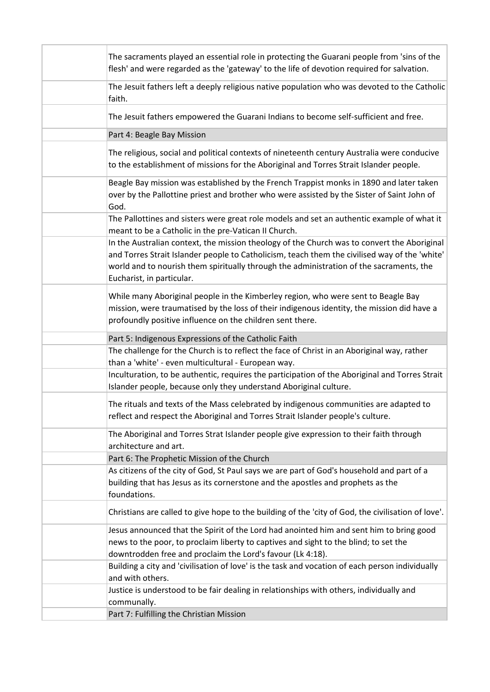| The sacraments played an essential role in protecting the Guarani people from 'sins of the<br>flesh' and were regarded as the 'gateway' to the life of devotion required for salvation.                                                                                                                              |
|----------------------------------------------------------------------------------------------------------------------------------------------------------------------------------------------------------------------------------------------------------------------------------------------------------------------|
| The Jesuit fathers left a deeply religious native population who was devoted to the Catholic<br>faith.                                                                                                                                                                                                               |
| The Jesuit fathers empowered the Guarani Indians to become self-sufficient and free.                                                                                                                                                                                                                                 |
| Part 4: Beagle Bay Mission                                                                                                                                                                                                                                                                                           |
| The religious, social and political contexts of nineteenth century Australia were conducive<br>to the establishment of missions for the Aboriginal and Torres Strait Islander people.                                                                                                                                |
| Beagle Bay mission was established by the French Trappist monks in 1890 and later taken<br>over by the Pallottine priest and brother who were assisted by the Sister of Saint John of<br>God.                                                                                                                        |
| The Pallottines and sisters were great role models and set an authentic example of what it<br>meant to be a Catholic in the pre-Vatican II Church.                                                                                                                                                                   |
| In the Australian context, the mission theology of the Church was to convert the Aboriginal<br>and Torres Strait Islander people to Catholicism, teach them the civilised way of the 'white'<br>world and to nourish them spiritually through the administration of the sacraments, the<br>Eucharist, in particular. |
| While many Aboriginal people in the Kimberley region, who were sent to Beagle Bay<br>mission, were traumatised by the loss of their indigenous identity, the mission did have a<br>profoundly positive influence on the children sent there.                                                                         |
| Part 5: Indigenous Expressions of the Catholic Faith                                                                                                                                                                                                                                                                 |
| The challenge for the Church is to reflect the face of Christ in an Aboriginal way, rather<br>than a 'white' - even multicultural - European way.                                                                                                                                                                    |
| Inculturation, to be authentic, requires the participation of the Aboriginal and Torres Strait<br>Islander people, because only they understand Aboriginal culture.                                                                                                                                                  |
| The rituals and texts of the Mass celebrated by indigenous communities are adapted to<br>reflect and respect the Aboriginal and Torres Strait Islander people's culture.                                                                                                                                             |
| The Aboriginal and Torres Strat Islander people give expression to their faith through<br>architecture and art.                                                                                                                                                                                                      |
| Part 6: The Prophetic Mission of the Church                                                                                                                                                                                                                                                                          |
| As citizens of the city of God, St Paul says we are part of God's household and part of a<br>building that has Jesus as its cornerstone and the apostles and prophets as the<br>foundations.                                                                                                                         |
| Christians are called to give hope to the building of the 'city of God, the civilisation of love'.                                                                                                                                                                                                                   |
| Jesus announced that the Spirit of the Lord had anointed him and sent him to bring good<br>news to the poor, to proclaim liberty to captives and sight to the blind; to set the<br>downtrodden free and proclaim the Lord's favour (Lk 4:18).                                                                        |
| Building a city and 'civilisation of love' is the task and vocation of each person individually<br>and with others.                                                                                                                                                                                                  |
| Justice is understood to be fair dealing in relationships with others, individually and<br>communally.                                                                                                                                                                                                               |
| Part 7: Fulfilling the Christian Mission                                                                                                                                                                                                                                                                             |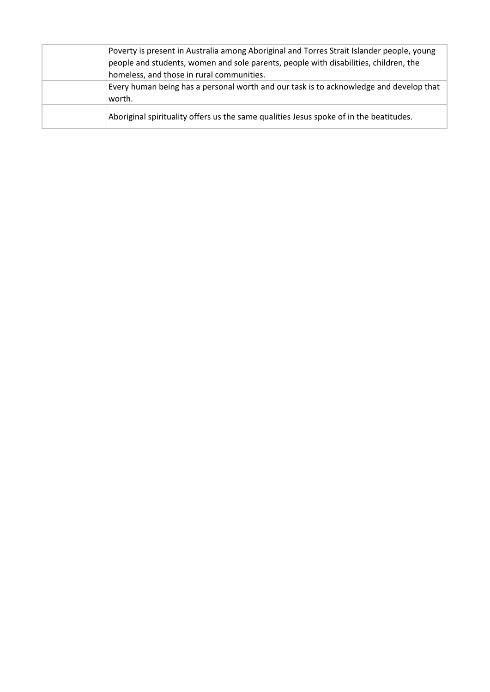| Poverty is present in Australia among Aboriginal and Torres Strait Islander people, young<br>people and students, women and sole parents, people with disabilities, children, the |
|-----------------------------------------------------------------------------------------------------------------------------------------------------------------------------------|
| homeless, and those in rural communities.                                                                                                                                         |
| Every human being has a personal worth and our task is to acknowledge and develop that<br>worth.                                                                                  |
| Aboriginal spirituality offers us the same qualities Jesus spoke of in the beatitudes.                                                                                            |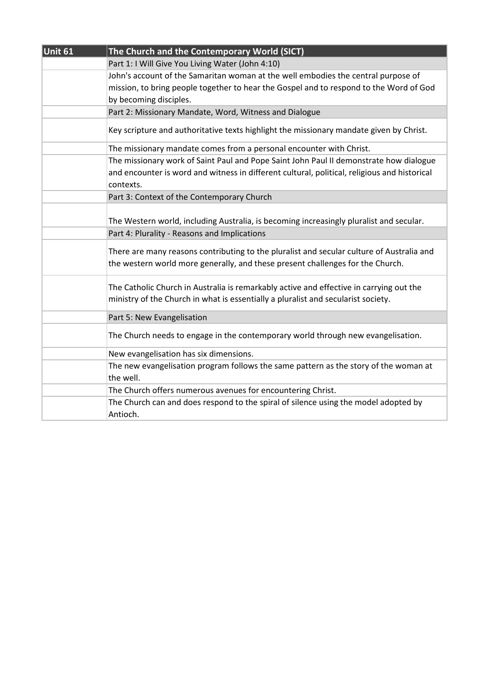| Unit 61 | The Church and the Contemporary World (SICT)                                                 |
|---------|----------------------------------------------------------------------------------------------|
|         | Part 1: I Will Give You Living Water (John 4:10)                                             |
|         | John's account of the Samaritan woman at the well embodies the central purpose of            |
|         | mission, to bring people together to hear the Gospel and to respond to the Word of God       |
|         | by becoming disciples.                                                                       |
|         | Part 2: Missionary Mandate, Word, Witness and Dialogue                                       |
|         | Key scripture and authoritative texts highlight the missionary mandate given by Christ.      |
|         | The missionary mandate comes from a personal encounter with Christ.                          |
|         | The missionary work of Saint Paul and Pope Saint John Paul II demonstrate how dialogue       |
|         | and encounter is word and witness in different cultural, political, religious and historical |
|         | contexts.                                                                                    |
|         | Part 3: Context of the Contemporary Church                                                   |
|         |                                                                                              |
|         | The Western world, including Australia, is becoming increasingly pluralist and secular.      |
|         | Part 4: Plurality - Reasons and Implications                                                 |
|         | There are many reasons contributing to the pluralist and secular culture of Australia and    |
|         | the western world more generally, and these present challenges for the Church.               |
|         |                                                                                              |
|         | The Catholic Church in Australia is remarkably active and effective in carrying out the      |
|         | ministry of the Church in what is essentially a pluralist and secularist society.            |
|         |                                                                                              |
|         | Part 5: New Evangelisation                                                                   |
|         | The Church needs to engage in the contemporary world through new evangelisation.             |
|         | New evangelisation has six dimensions.                                                       |
|         | The new evangelisation program follows the same pattern as the story of the woman at         |
|         | the well.                                                                                    |
|         | The Church offers numerous avenues for encountering Christ.                                  |
|         | The Church can and does respond to the spiral of silence using the model adopted by          |
|         | Antioch.                                                                                     |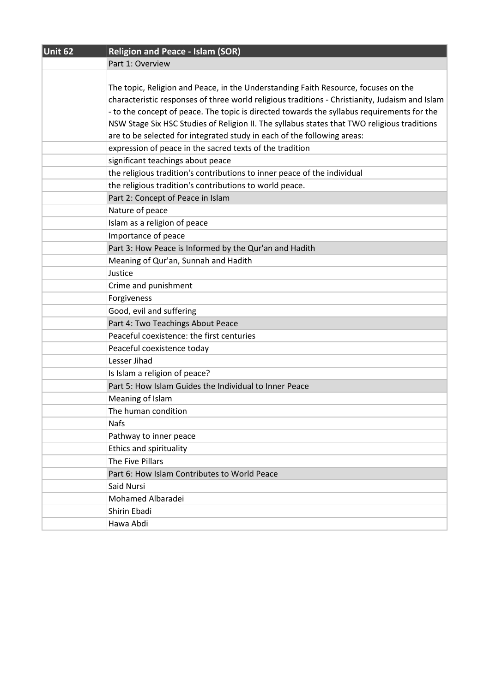| Unit 62 | <b>Religion and Peace - Islam (SOR)</b>                                                        |
|---------|------------------------------------------------------------------------------------------------|
|         | Part 1: Overview                                                                               |
|         |                                                                                                |
|         | The topic, Religion and Peace, in the Understanding Faith Resource, focuses on the             |
|         | characteristic responses of three world religious traditions - Christianity, Judaism and Islam |
|         | - to the concept of peace. The topic is directed towards the syllabus requirements for the     |
|         | NSW Stage Six HSC Studies of Religion II. The syllabus states that TWO religious traditions    |
|         | are to be selected for integrated study in each of the following areas:                        |
|         | expression of peace in the sacred texts of the tradition                                       |
|         | significant teachings about peace                                                              |
|         | the religious tradition's contributions to inner peace of the individual                       |
|         | the religious tradition's contributions to world peace.                                        |
|         | Part 2: Concept of Peace in Islam                                                              |
|         | Nature of peace                                                                                |
|         | Islam as a religion of peace                                                                   |
|         | Importance of peace                                                                            |
|         | Part 3: How Peace is Informed by the Qur'an and Hadith                                         |
|         | Meaning of Qur'an, Sunnah and Hadith                                                           |
|         | Justice                                                                                        |
|         | Crime and punishment                                                                           |
|         | Forgiveness                                                                                    |
|         | Good, evil and suffering                                                                       |
|         | Part 4: Two Teachings About Peace                                                              |
|         | Peaceful coexistence: the first centuries                                                      |
|         | Peaceful coexistence today                                                                     |
|         | Lesser Jihad                                                                                   |
|         | Is Islam a religion of peace?                                                                  |
|         | Part 5: How Islam Guides the Individual to Inner Peace                                         |
|         | Meaning of Islam                                                                               |
|         | The human condition                                                                            |
|         | <b>Nafs</b>                                                                                    |
|         | Pathway to inner peace                                                                         |
|         | Ethics and spirituality                                                                        |
|         | The Five Pillars                                                                               |
|         | Part 6: How Islam Contributes to World Peace                                                   |
|         | Said Nursi                                                                                     |
|         | Mohamed Albaradei                                                                              |
|         | Shirin Ebadi                                                                                   |
|         | Hawa Abdi                                                                                      |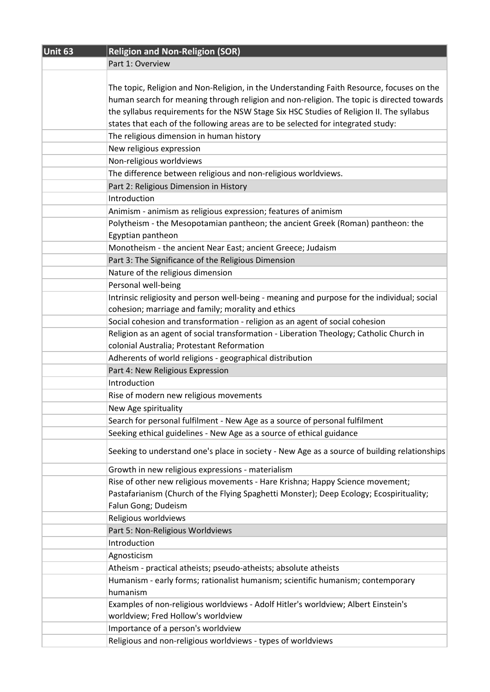| Unit 63 | <b>Religion and Non-Religion (SOR)</b>                                                       |
|---------|----------------------------------------------------------------------------------------------|
|         | Part 1: Overview                                                                             |
|         |                                                                                              |
|         | The topic, Religion and Non-Religion, in the Understanding Faith Resource, focuses on the    |
|         | human search for meaning through religion and non-religion. The topic is directed towards    |
|         | the syllabus requirements for the NSW Stage Six HSC Studies of Religion II. The syllabus     |
|         | states that each of the following areas are to be selected for integrated study:             |
|         | The religious dimension in human history                                                     |
|         | New religious expression                                                                     |
|         | Non-religious worldviews                                                                     |
|         | The difference between religious and non-religious worldviews.                               |
|         | Part 2: Religious Dimension in History                                                       |
|         | Introduction                                                                                 |
|         | Animism - animism as religious expression; features of animism                               |
|         | Polytheism - the Mesopotamian pantheon; the ancient Greek (Roman) pantheon: the              |
|         | Egyptian pantheon                                                                            |
|         | Monotheism - the ancient Near East; ancient Greece; Judaism                                  |
|         | Part 3: The Significance of the Religious Dimension                                          |
|         | Nature of the religious dimension                                                            |
|         | Personal well-being                                                                          |
|         | Intrinsic religiosity and person well-being - meaning and purpose for the individual; social |
|         | cohesion; marriage and family; morality and ethics                                           |
|         | Social cohesion and transformation - religion as an agent of social cohesion                 |
|         | Religion as an agent of social transformation - Liberation Theology; Catholic Church in      |
|         | colonial Australia; Protestant Reformation                                                   |
|         | Adherents of world religions - geographical distribution                                     |
|         | Part 4: New Religious Expression                                                             |
|         | Introduction                                                                                 |
|         | Rise of modern new religious movements                                                       |
|         | New Age spirituality                                                                         |
|         | Search for personal fulfilment - New Age as a source of personal fulfilment                  |
|         | Seeking ethical guidelines - New Age as a source of ethical guidance                         |
|         | Seeking to understand one's place in society - New Age as a source of building relationships |
|         | Growth in new religious expressions - materialism                                            |
|         | Rise of other new religious movements - Hare Krishna; Happy Science movement;                |
|         | Pastafarianism (Church of the Flying Spaghetti Monster); Deep Ecology; Ecospirituality;      |
|         | Falun Gong; Dudeism                                                                          |
|         | Religious worldviews                                                                         |
|         | Part 5: Non-Religious Worldviews                                                             |
|         | Introduction                                                                                 |
|         | Agnosticism                                                                                  |
|         | Atheism - practical atheists; pseudo-atheists; absolute atheists                             |
|         | Humanism - early forms; rationalist humanism; scientific humanism; contemporary              |
|         | humanism                                                                                     |
|         | Examples of non-religious worldviews - Adolf Hitler's worldview; Albert Einstein's           |
|         | worldview; Fred Hollow's worldview                                                           |
|         | Importance of a person's worldview                                                           |
|         | Religious and non-religious worldviews - types of worldviews                                 |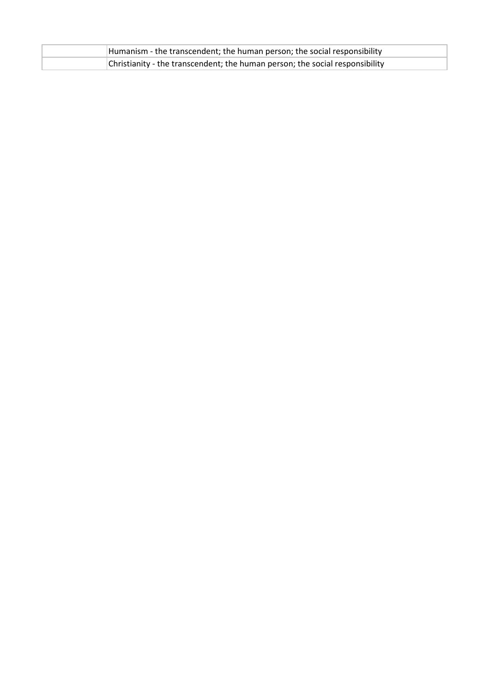| Humanism - the transcendent; the human person; the social responsibility     |
|------------------------------------------------------------------------------|
| Christianity - the transcendent; the human person; the social responsibility |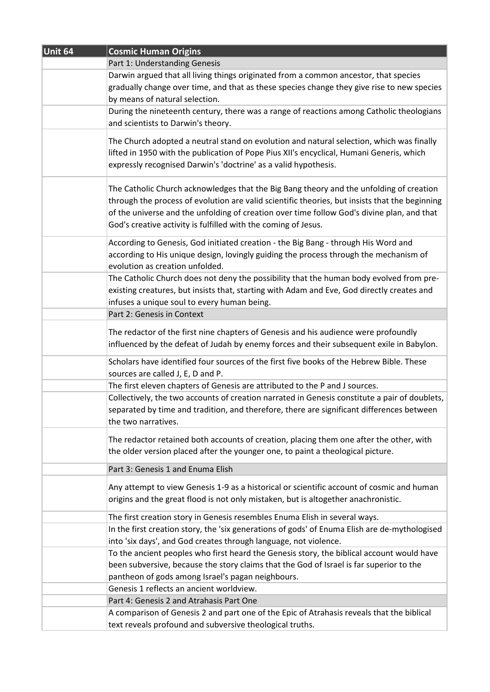| Unit 64 | <b>Cosmic Human Origins</b>                                                                                                                                                                                                                                                                                                                               |
|---------|-----------------------------------------------------------------------------------------------------------------------------------------------------------------------------------------------------------------------------------------------------------------------------------------------------------------------------------------------------------|
|         | Part 1: Understanding Genesis                                                                                                                                                                                                                                                                                                                             |
|         | Darwin argued that all living things originated from a common ancestor, that species<br>gradually change over time, and that as these species change they give rise to new species<br>by means of natural selection.                                                                                                                                      |
|         | During the nineteenth century, there was a range of reactions among Catholic theologians<br>and scientists to Darwin's theory.                                                                                                                                                                                                                            |
|         | The Church adopted a neutral stand on evolution and natural selection, which was finally<br>lifted in 1950 with the publication of Pope Pius XII's encyclical, Humani Generis, which<br>expressly recognised Darwin's 'doctrine' as a valid hypothesis.                                                                                                   |
|         | The Catholic Church acknowledges that the Big Bang theory and the unfolding of creation<br>through the process of evolution are valid scientific theories, but insists that the beginning<br>of the universe and the unfolding of creation over time follow God's divine plan, and that<br>God's creative activity is fulfilled with the coming of Jesus. |
|         | According to Genesis, God initiated creation - the Big Bang - through His Word and<br>according to His unique design, lovingly guiding the process through the mechanism of<br>evolution as creation unfolded.                                                                                                                                            |
|         | The Catholic Church does not deny the possibility that the human body evolved from pre-<br>existing creatures, but insists that, starting with Adam and Eve, God directly creates and<br>infuses a unique soul to every human being.                                                                                                                      |
|         | Part 2: Genesis in Context                                                                                                                                                                                                                                                                                                                                |
|         | The redactor of the first nine chapters of Genesis and his audience were profoundly<br>influenced by the defeat of Judah by enemy forces and their subsequent exile in Babylon.                                                                                                                                                                           |
|         | Scholars have identified four sources of the first five books of the Hebrew Bible. These<br>sources are called J, E, D and P.                                                                                                                                                                                                                             |
|         | The first eleven chapters of Genesis are attributed to the P and J sources.                                                                                                                                                                                                                                                                               |
|         | Collectively, the two accounts of creation narrated in Genesis constitute a pair of doublets,<br>separated by time and tradition, and therefore, there are significant differences between<br>the two narratives.                                                                                                                                         |
|         | The redactor retained both accounts of creation, placing them one after the other, with<br>the older version placed after the younger one, to paint a theological picture.                                                                                                                                                                                |
|         | Part 3: Genesis 1 and Enuma Elish                                                                                                                                                                                                                                                                                                                         |
|         | Any attempt to view Genesis 1-9 as a historical or scientific account of cosmic and human<br>origins and the great flood is not only mistaken, but is altogether anachronistic.                                                                                                                                                                           |
|         | The first creation story in Genesis resembles Enuma Elish in several ways.                                                                                                                                                                                                                                                                                |
|         | In the first creation story, the 'six generations of gods' of Enuma Elish are de-mythologised<br>into 'six days', and God creates through language, not violence.                                                                                                                                                                                         |
|         | To the ancient peoples who first heard the Genesis story, the biblical account would have<br>been subversive, because the story claims that the God of Israel is far superior to the<br>pantheon of gods among Israel's pagan neighbours.                                                                                                                 |
|         | Genesis 1 reflects an ancient worldview.                                                                                                                                                                                                                                                                                                                  |
|         | Part 4: Genesis 2 and Atrahasis Part One                                                                                                                                                                                                                                                                                                                  |
|         | A comparison of Genesis 2 and part one of the Epic of Atrahasis reveals that the biblical<br>text reveals profound and subversive theological truths.                                                                                                                                                                                                     |